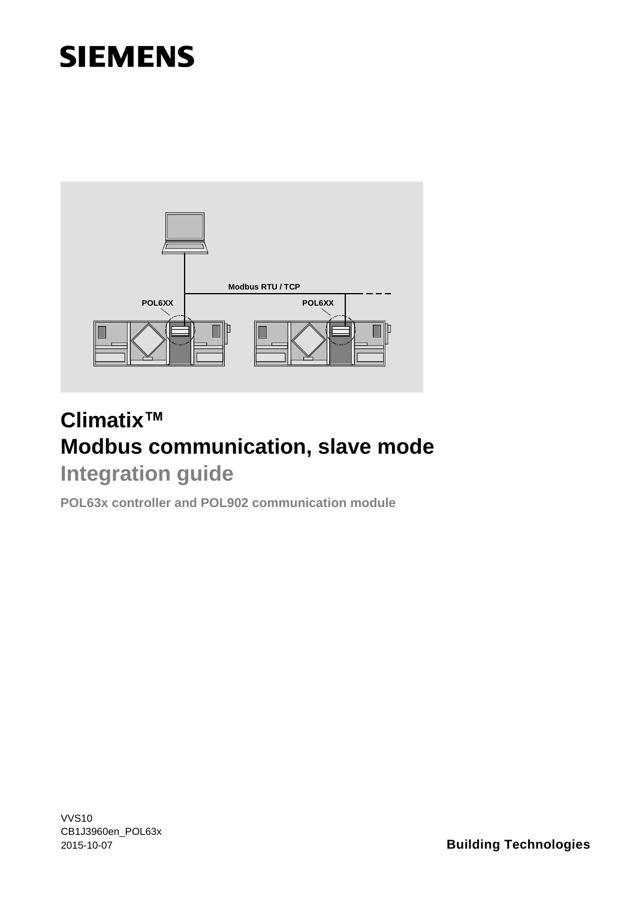# **SIEMENS**



# **Climatix™ Modbus communication, slave mode Integration guide**

**POL63x controller and POL902 communication module**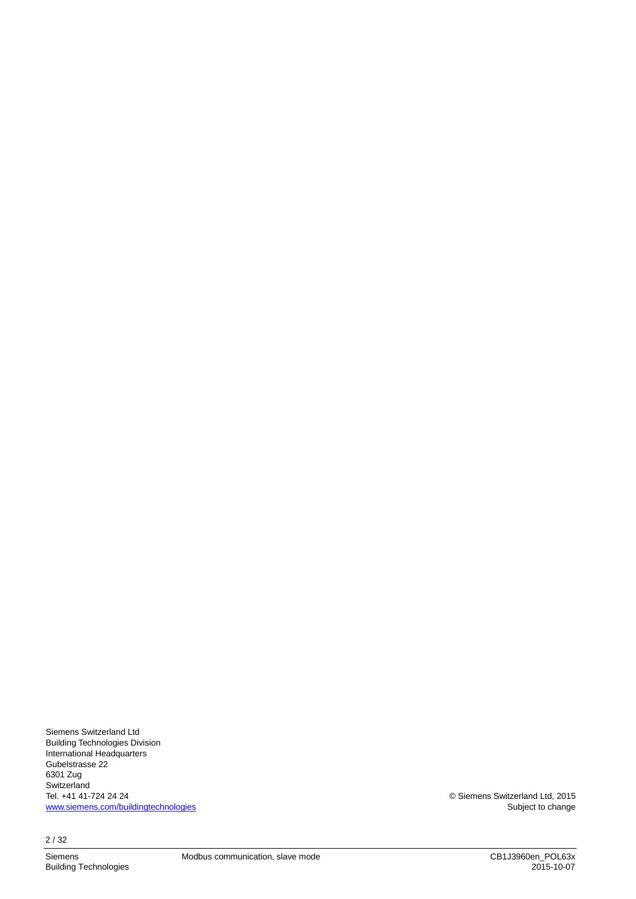Siemens Switzerland Ltd Building Technologies Division International Headquarters Gubelstrasse 22 6301 Zug Switzerland Tel. +41 41-724 24 24 [www.siemens.com/buildingtechnologies](http://www.siemens.com/buildingtechnologies)

2 / 32

Siemens Modbus communication, slave mode<br>Building Technologies Modbus communication, slave mode<br>2015-10-07 Building Technologies

© Siemens Switzerland Ltd, 2015 Subject to change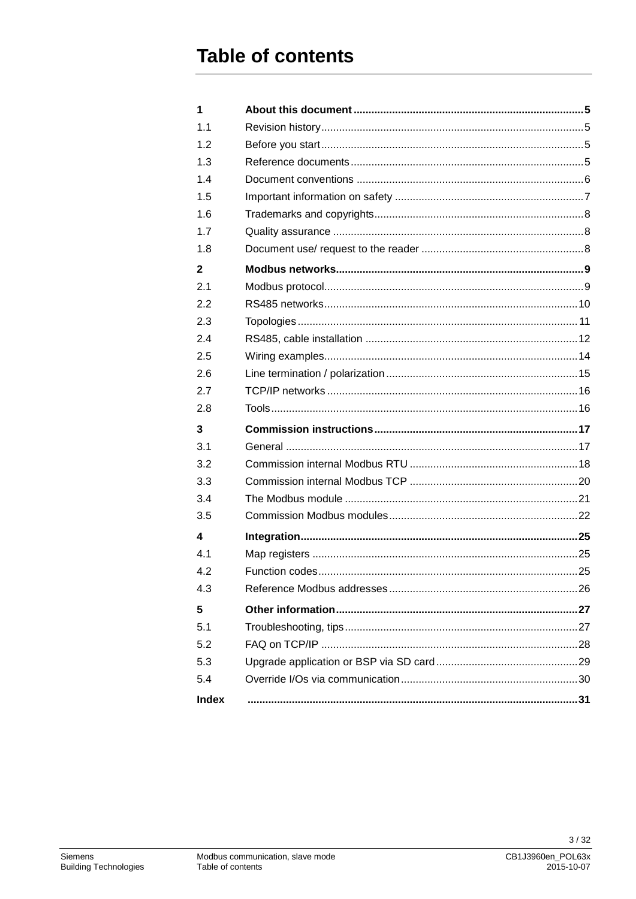# **Table of contents**

| $\mathbf{1}$ |  |
|--------------|--|
| 1.1          |  |
| 1.2          |  |
| 1.3          |  |
| 1.4          |  |
| 1.5          |  |
| 1.6          |  |
| 1.7          |  |
| 1.8          |  |
| $\mathbf{2}$ |  |
| 2.1          |  |
| 2.2          |  |
| 2.3          |  |
| 2.4          |  |
| 2.5          |  |
| 2.6          |  |
| 2.7          |  |
| 2.8          |  |
| 3            |  |
| 3.1          |  |
| 3.2          |  |
| 3.3          |  |
| 3.4          |  |
| 3.5          |  |
| 4            |  |
| 4.1          |  |
| 4.2          |  |
| 4.3          |  |
| 5            |  |
| 5.1          |  |
|              |  |
| 5.2          |  |
| 5.3          |  |
| 5.4          |  |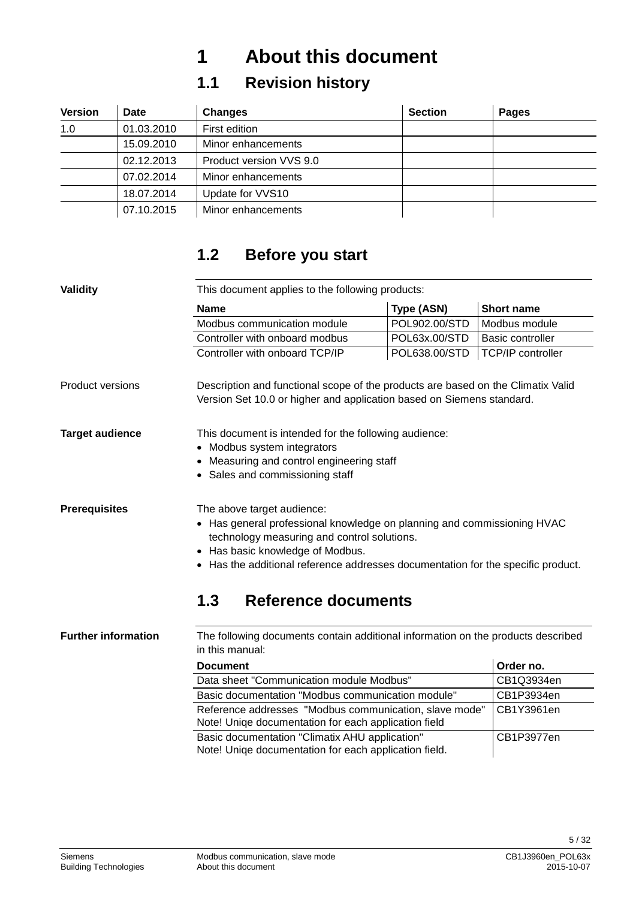# **1 About this document**

# **1.1 Revision history**

| <b>Version</b> | Date       | <b>Changes</b>          | <b>Section</b> | Pages |
|----------------|------------|-------------------------|----------------|-------|
| 1.0            | 01.03.2010 | First edition           |                |       |
|                | 15.09.2010 | Minor enhancements      |                |       |
|                | 02.12.2013 | Product version VVS 9.0 |                |       |
|                | 07.02.2014 | Minor enhancements      |                |       |
|                | 18.07.2014 | Update for VVS10        |                |       |
|                | 07.10.2015 | Minor enhancements      |                |       |

# **1.2 Before you start**

| <b>Validity</b>            | This document applies to the following products:                                                                                                                                                                                                                                                       |               |                   |  |
|----------------------------|--------------------------------------------------------------------------------------------------------------------------------------------------------------------------------------------------------------------------------------------------------------------------------------------------------|---------------|-------------------|--|
|                            | <b>Name</b>                                                                                                                                                                                                                                                                                            | Type (ASN)    | <b>Short name</b> |  |
|                            | Modbus communication module                                                                                                                                                                                                                                                                            | POL902.00/STD | Modbus module     |  |
|                            | Controller with onboard modbus                                                                                                                                                                                                                                                                         | POL63x.00/STD | Basic controller  |  |
|                            | Controller with onboard TCP/IP                                                                                                                                                                                                                                                                         | POL638.00/STD | TCP/IP controller |  |
| <b>Product versions</b>    | Description and functional scope of the products are based on the Climatix Valid<br>Version Set 10.0 or higher and application based on Siemens standard.                                                                                                                                              |               |                   |  |
| <b>Target audience</b>     | This document is intended for the following audience:<br>Modbus system integrators<br>• Measuring and control engineering staff<br>Sales and commissioning staff                                                                                                                                       |               |                   |  |
| <b>Prerequisites</b>       | The above target audience:<br>• Has general professional knowledge on planning and commissioning HVAC<br>technology measuring and control solutions.<br>Has basic knowledge of Modbus.<br>Has the additional reference addresses documentation for the specific product.<br>1.3<br>Reference documents |               |                   |  |
| <b>Further information</b> | The following documents contain additional information on the products described<br>in this manual:<br>Order no.<br><b>Document</b>                                                                                                                                                                    |               |                   |  |
|                            | Data sheet "Communication module Modbus"                                                                                                                                                                                                                                                               |               | CB1Q3934en        |  |
|                            | Basic documentation "Modbus communication module"<br>CB1P3934en                                                                                                                                                                                                                                        |               |                   |  |
|                            | Reference addresses "Modbus communication, slave mode"<br>CB1Y3961en<br>Note! Uniqe documentation for each application field                                                                                                                                                                           |               |                   |  |
|                            | Basic documentation "Climatix AHU application"<br>CB1P3977en<br>Note! Uniqe documentation for each application field.                                                                                                                                                                                  |               |                   |  |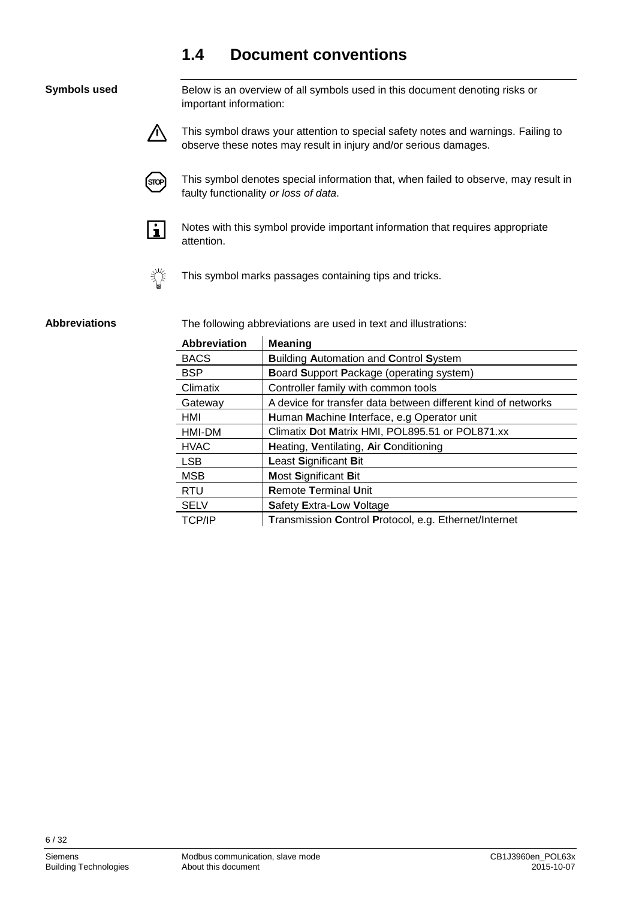### **1.4 Document conventions**

#### **Symbols used**

Below is an overview of all symbols used in this document denoting risks or important information:



This symbol draws your attention to special safety notes and warnings. Failing to observe these notes may result in injury and/or serious damages.



This symbol denotes special information that, when failed to observe, may result in faulty functionality *or loss of data*.



Notes with this symbol provide important information that requires appropriate attention.



This symbol marks passages containing tips and tricks.

#### **Abbreviations**

The following abbreviations are used in text and illustrations:

| Abbreviation  | <b>Meaning</b>                                                |
|---------------|---------------------------------------------------------------|
| <b>BACS</b>   | <b>Building Automation and Control System</b>                 |
| <b>BSP</b>    | <b>Board Support Package (operating system)</b>               |
| Climatix      | Controller family with common tools                           |
| Gateway       | A device for transfer data between different kind of networks |
| HMI           | Human Machine Interface, e.g Operator unit                    |
| HMI-DM        | Climatix Dot Matrix HMI, POL895.51 or POL871.xx               |
| <b>HVAC</b>   | Heating, Ventilating, Air Conditioning                        |
| <b>LSB</b>    | Least Significant Bit                                         |
| <b>MSB</b>    | <b>Most Significant Bit</b>                                   |
| <b>RTU</b>    | <b>Remote Terminal Unit</b>                                   |
| <b>SELV</b>   | <b>Safety Extra-Low Voltage</b>                               |
| <b>TCP/IP</b> | <b>Transmission Control Protocol, e.g. Ethernet/Internet</b>  |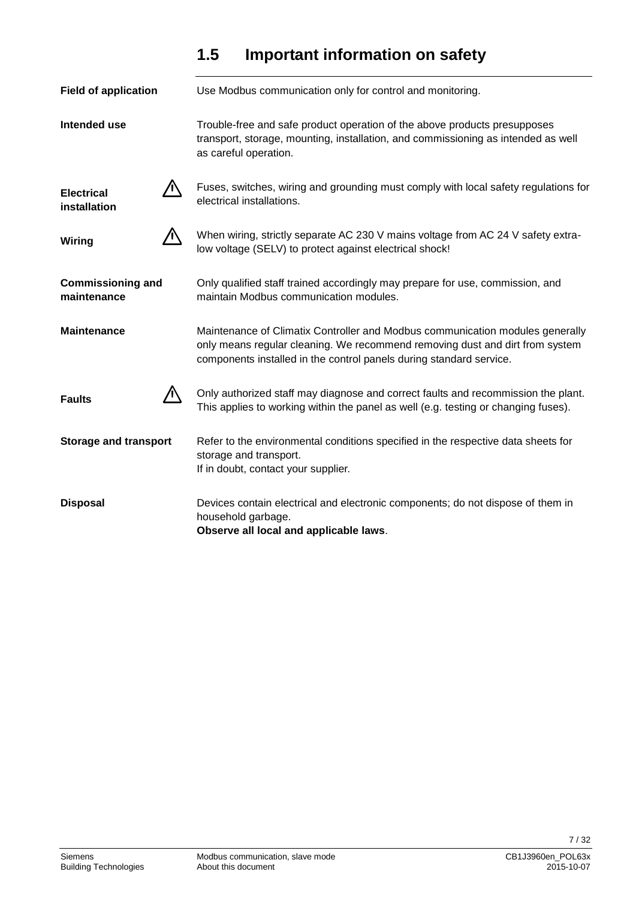### **1.5 Important information on safety**

| <b>Field of application</b>             | Use Modbus communication only for control and monitoring.                                                                                                                                                                            |  |
|-----------------------------------------|--------------------------------------------------------------------------------------------------------------------------------------------------------------------------------------------------------------------------------------|--|
| Intended use                            | Trouble-free and safe product operation of the above products presupposes<br>transport, storage, mounting, installation, and commissioning as intended as well<br>as careful operation.                                              |  |
| <b>Electrical</b><br>installation       | Fuses, switches, wiring and grounding must comply with local safety regulations for<br>electrical installations.                                                                                                                     |  |
| Wiring                                  | When wiring, strictly separate AC 230 V mains voltage from AC 24 V safety extra-<br>low voltage (SELV) to protect against electrical shock!                                                                                          |  |
| <b>Commissioning and</b><br>maintenance | Only qualified staff trained accordingly may prepare for use, commission, and<br>maintain Modbus communication modules.                                                                                                              |  |
| <b>Maintenance</b>                      | Maintenance of Climatix Controller and Modbus communication modules generally<br>only means regular cleaning. We recommend removing dust and dirt from system<br>components installed in the control panels during standard service. |  |
| <b>Faults</b>                           | Only authorized staff may diagnose and correct faults and recommission the plant.<br>This applies to working within the panel as well (e.g. testing or changing fuses).                                                              |  |
| <b>Storage and transport</b>            | Refer to the environmental conditions specified in the respective data sheets for<br>storage and transport.<br>If in doubt, contact your supplier.                                                                                   |  |
| <b>Disposal</b>                         | Devices contain electrical and electronic components; do not dispose of them in<br>household garbage.<br>Observe all local and applicable laws.                                                                                      |  |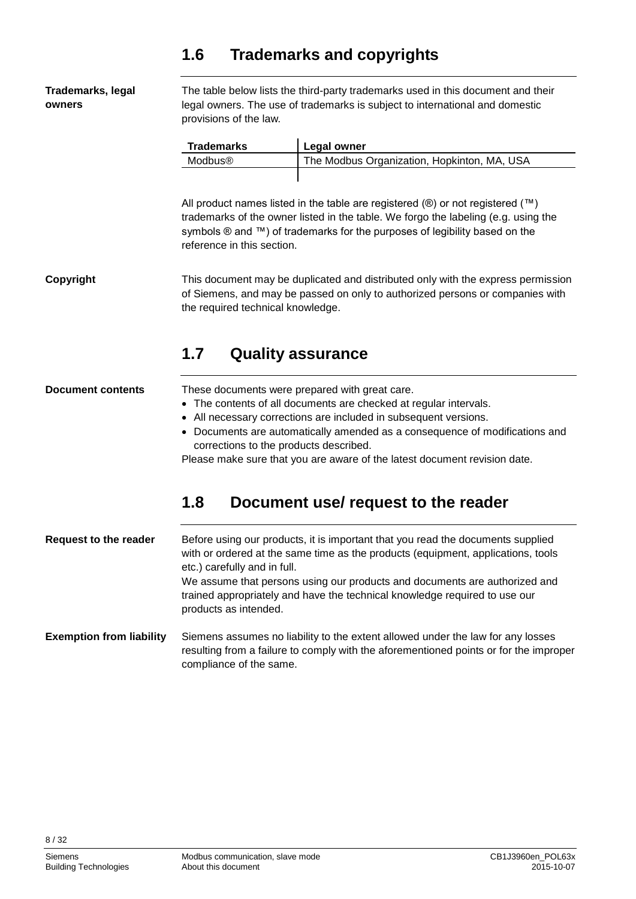### **1.6 Trademarks and copyrights**

| Trademarks, legal<br>owners                                                                                                                                                                                                                                                                                                                                                                                         | The table below lists the third-party trademarks used in this document and their<br>legal owners. The use of trademarks is subject to international and domestic<br>provisions of the law.                                                                                                                                                                                               |                                                                                                                                                                                                                                                                          |
|---------------------------------------------------------------------------------------------------------------------------------------------------------------------------------------------------------------------------------------------------------------------------------------------------------------------------------------------------------------------------------------------------------------------|------------------------------------------------------------------------------------------------------------------------------------------------------------------------------------------------------------------------------------------------------------------------------------------------------------------------------------------------------------------------------------------|--------------------------------------------------------------------------------------------------------------------------------------------------------------------------------------------------------------------------------------------------------------------------|
|                                                                                                                                                                                                                                                                                                                                                                                                                     | <b>Trademarks</b>                                                                                                                                                                                                                                                                                                                                                                        | <b>Legal owner</b>                                                                                                                                                                                                                                                       |
|                                                                                                                                                                                                                                                                                                                                                                                                                     | Modbus®                                                                                                                                                                                                                                                                                                                                                                                  | The Modbus Organization, Hopkinton, MA, USA                                                                                                                                                                                                                              |
|                                                                                                                                                                                                                                                                                                                                                                                                                     |                                                                                                                                                                                                                                                                                                                                                                                          |                                                                                                                                                                                                                                                                          |
|                                                                                                                                                                                                                                                                                                                                                                                                                     | reference in this section.                                                                                                                                                                                                                                                                                                                                                               | All product names listed in the table are registered $(\circledR)$ or not registered ( $\text{TM}$ )<br>trademarks of the owner listed in the table. We forgo the labeling (e.g. using the<br>symbols ® and ™) of trademarks for the purposes of legibility based on the |
| Copyright                                                                                                                                                                                                                                                                                                                                                                                                           | This document may be duplicated and distributed only with the express permission<br>of Siemens, and may be passed on only to authorized persons or companies with<br>the required technical knowledge.                                                                                                                                                                                   |                                                                                                                                                                                                                                                                          |
|                                                                                                                                                                                                                                                                                                                                                                                                                     | 1.7                                                                                                                                                                                                                                                                                                                                                                                      | <b>Quality assurance</b>                                                                                                                                                                                                                                                 |
| <b>Document contents</b><br>These documents were prepared with great care.<br>The contents of all documents are checked at regular intervals.<br>All necessary corrections are included in subsequent versions.<br>Documents are automatically amended as a consequence of modifications and<br>corrections to the products described.<br>Please make sure that you are aware of the latest document revision date. |                                                                                                                                                                                                                                                                                                                                                                                          |                                                                                                                                                                                                                                                                          |
|                                                                                                                                                                                                                                                                                                                                                                                                                     | 1.8                                                                                                                                                                                                                                                                                                                                                                                      | Document use/ request to the reader                                                                                                                                                                                                                                      |
| <b>Request to the reader</b>                                                                                                                                                                                                                                                                                                                                                                                        | Before using our products, it is important that you read the documents supplied<br>with or ordered at the same time as the products (equipment, applications, tools<br>etc.) carefully and in full.<br>We assume that persons using our products and documents are authorized and<br>trained appropriately and have the technical knowledge required to use our<br>products as intended. |                                                                                                                                                                                                                                                                          |
| <b>Exemption from liability</b>                                                                                                                                                                                                                                                                                                                                                                                     | compliance of the same.                                                                                                                                                                                                                                                                                                                                                                  | Siemens assumes no liability to the extent allowed under the law for any losses<br>resulting from a failure to comply with the aforementioned points or for the improper                                                                                                 |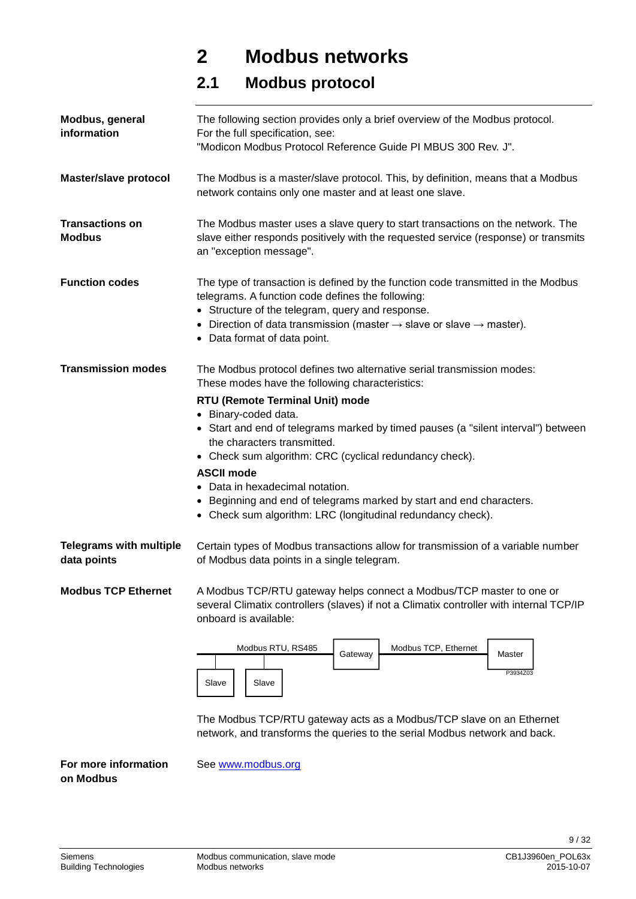# **2 Modbus networks**

# **2.1 Modbus protocol**

| Modbus, general<br>information                | The following section provides only a brief overview of the Modbus protocol.<br>For the full specification, see:<br>"Modicon Modbus Protocol Reference Guide PI MBUS 300 Rev. J".                                                                                                                                                                                                                                                                                                                                                                                |  |  |
|-----------------------------------------------|------------------------------------------------------------------------------------------------------------------------------------------------------------------------------------------------------------------------------------------------------------------------------------------------------------------------------------------------------------------------------------------------------------------------------------------------------------------------------------------------------------------------------------------------------------------|--|--|
| <b>Master/slave protocol</b>                  | The Modbus is a master/slave protocol. This, by definition, means that a Modbus<br>network contains only one master and at least one slave.                                                                                                                                                                                                                                                                                                                                                                                                                      |  |  |
| <b>Transactions on</b><br><b>Modbus</b>       | The Modbus master uses a slave query to start transactions on the network. The<br>slave either responds positively with the requested service (response) or transmits<br>an "exception message".                                                                                                                                                                                                                                                                                                                                                                 |  |  |
| <b>Function codes</b>                         | The type of transaction is defined by the function code transmitted in the Modbus<br>telegrams. A function code defines the following:<br>• Structure of the telegram, query and response.<br>• Direction of data transmission (master $\rightarrow$ slave or slave $\rightarrow$ master).<br>• Data format of data point.                                                                                                                                                                                                                                       |  |  |
| <b>Transmission modes</b>                     | The Modbus protocol defines two alternative serial transmission modes:<br>These modes have the following characteristics:<br>RTU (Remote Terminal Unit) mode<br>• Binary-coded data.<br>• Start and end of telegrams marked by timed pauses (a "silent interval") between<br>the characters transmitted.<br>• Check sum algorithm: CRC (cyclical redundancy check).<br><b>ASCII mode</b><br>• Data in hexadecimal notation.<br>Beginning and end of telegrams marked by start and end characters.<br>• Check sum algorithm: LRC (longitudinal redundancy check). |  |  |
| <b>Telegrams with multiple</b><br>data points | Certain types of Modbus transactions allow for transmission of a variable number<br>of Modbus data points in a single telegram.                                                                                                                                                                                                                                                                                                                                                                                                                                  |  |  |
| <b>Modbus TCP Ethernet</b>                    | A Modbus TCP/RTU gateway helps connect a Modbus/TCP master to one or<br>several Climatix controllers (slaves) if not a Climatix controller with internal TCP/IP<br>onboard is available:                                                                                                                                                                                                                                                                                                                                                                         |  |  |
|                                               | Modbus RTU, RS485<br>Modbus TCP, Ethernet<br>Gateway<br>Master<br>P3934Z03<br>Slave<br>Slave<br>The Modbus TCP/RTU gateway acts as a Modbus/TCP slave on an Ethernet                                                                                                                                                                                                                                                                                                                                                                                             |  |  |
|                                               | network, and transforms the queries to the serial Modbus network and back.                                                                                                                                                                                                                                                                                                                                                                                                                                                                                       |  |  |

**For more information on Modbus**

See<www.modbus.org>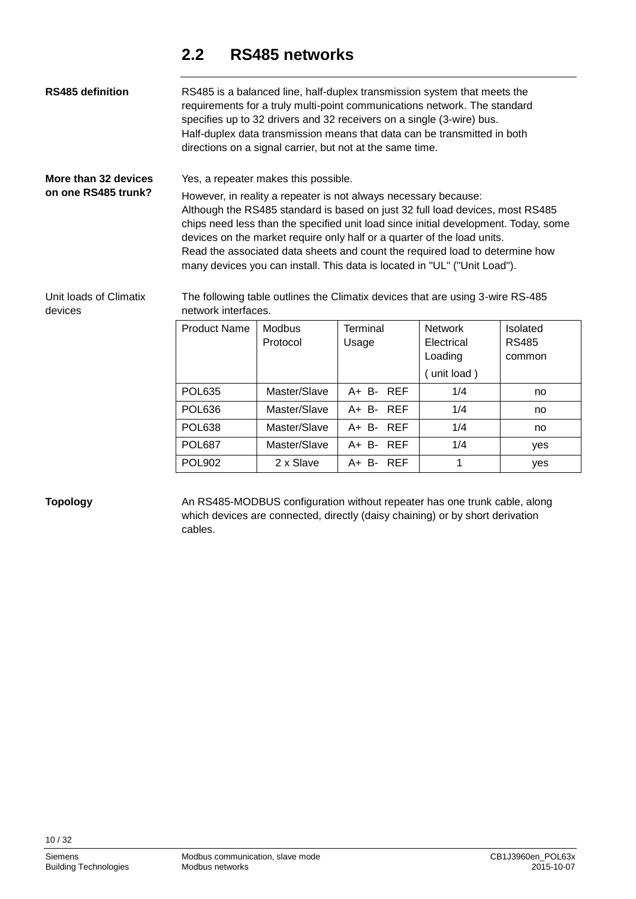### **2.2 RS485 networks**

| <b>RS485 definition</b>           | RS485 is a balanced line, half-duplex transmission system that meets the<br>requirements for a truly multi-point communications network. The standard<br>specifies up to 32 drivers and 32 receivers on a single (3-wire) bus.<br>Half-duplex data transmission means that data can be transmitted in both<br>directions on a signal carrier, but not at the same time.                                                                                                         |                                      |                   |                                                                                |                                           |
|-----------------------------------|---------------------------------------------------------------------------------------------------------------------------------------------------------------------------------------------------------------------------------------------------------------------------------------------------------------------------------------------------------------------------------------------------------------------------------------------------------------------------------|--------------------------------------|-------------------|--------------------------------------------------------------------------------|-------------------------------------------|
| More than 32 devices              |                                                                                                                                                                                                                                                                                                                                                                                                                                                                                 | Yes, a repeater makes this possible. |                   |                                                                                |                                           |
| on one RS485 trunk?               | However, in reality a repeater is not always necessary because:<br>Although the RS485 standard is based on just 32 full load devices, most RS485<br>chips need less than the specified unit load since initial development. Today, some<br>devices on the market require only half or a quarter of the load units.<br>Read the associated data sheets and count the required load to determine how<br>many devices you can install. This data is located in "UL" ("Unit Load"). |                                      |                   |                                                                                |                                           |
| Unit loads of Climatix<br>devices | network interfaces.                                                                                                                                                                                                                                                                                                                                                                                                                                                             |                                      |                   | The following table outlines the Climatix devices that are using 3-wire RS-485 |                                           |
|                                   | <b>Product Name</b>                                                                                                                                                                                                                                                                                                                                                                                                                                                             | Modbus<br>Protocol                   | Terminal<br>Usage | <b>Network</b><br>Electrical<br>Loading<br>unit load)                          | <b>Isolated</b><br><b>RS485</b><br>common |

| <b>Topology</b> | An RS485-N |
|-----------------|------------|
|                 |            |

MODBUS configuration without repeater has one trunk cable, along which devices are connected, directly (daisy chaining) or by short derivation cables.

POL635 | Master/Slave | A+ B- REF | 1/4 | no POL636 | Master/Slave | A+ B- REF | 1/4 | no POL638 Master/Slave A+ B- REF 1/4 no POL687 | Master/Slave | A+ B- REF | 1/4 | yes POL902  $\vert$  2 x Slave  $\vert$  A + B - REF  $\vert$  1  $\vert$  yes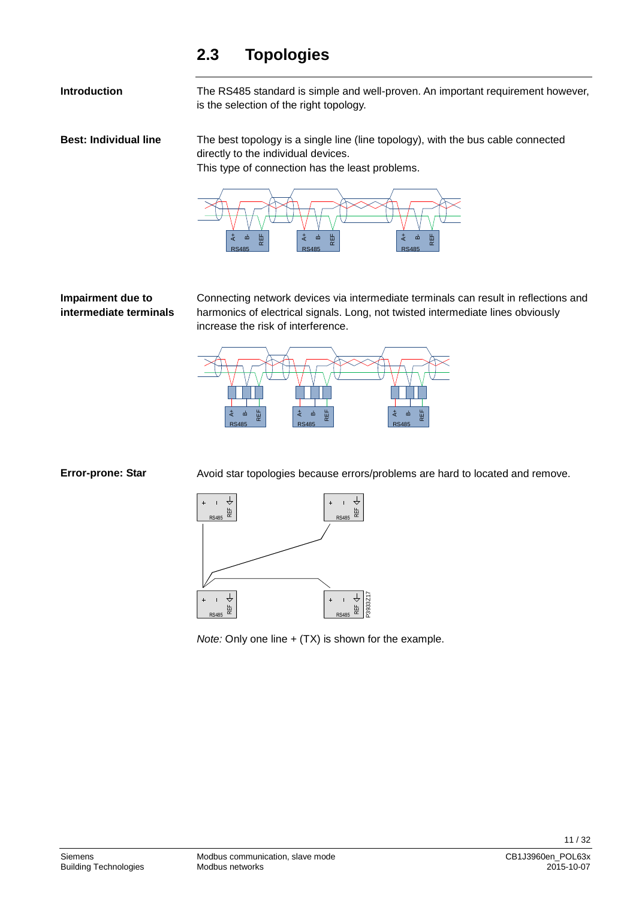### **2.3 Topologies**

**Introduction**

The RS485 standard is simple and well-proven. An important requirement however, is the selection of the right topology.

The best topology is a single line (line topology), with the bus cable connected directly to the individual devices. **Best: Individual line**

This type of connection has the least problems.



#### **Impairment due to intermediate terminals**

Connecting network devices via intermediate terminals can result in reflections and harmonics of electrical signals. Long, not twisted intermediate lines obviously increase the risk of interference.



#### **Error-prone: Star**

Avoid star topologies because errors/problems are hard to located and remove.



*Note:* Only one line + (TX) is shown for the example.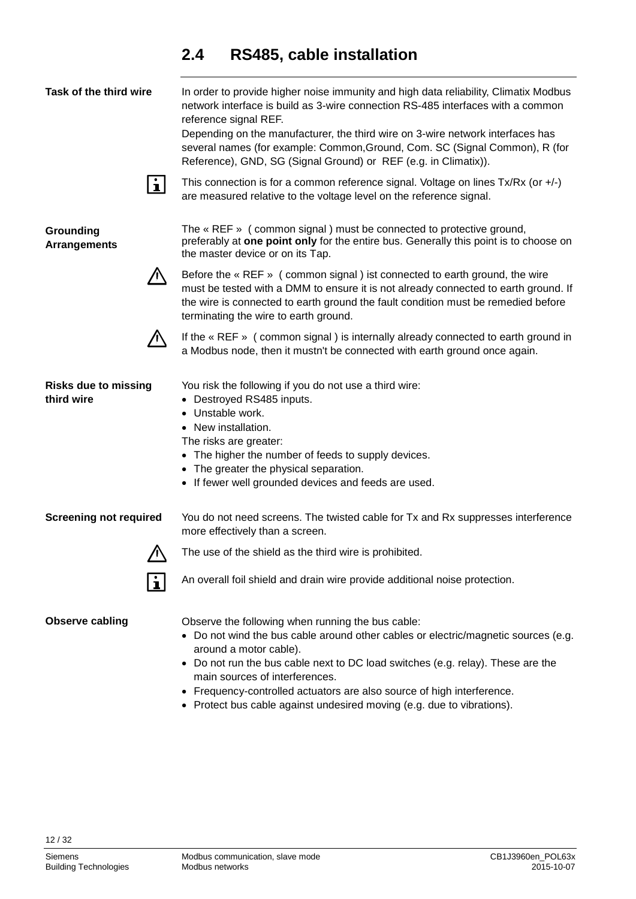### **2.4 RS485, cable installation**

| Task of the third wire<br>$\mathbf{i}$    | In order to provide higher noise immunity and high data reliability, Climatix Modbus<br>network interface is build as 3-wire connection RS-485 interfaces with a common<br>reference signal REF.<br>Depending on the manufacturer, the third wire on 3-wire network interfaces has<br>several names (for example: Common, Ground, Com. SC (Signal Common), R (for<br>Reference), GND, SG (Signal Ground) or REF (e.g. in Climatix)).<br>This connection is for a common reference signal. Voltage on lines $Tx/Rx$ (or $+/-$ )<br>are measured relative to the voltage level on the reference signal. |
|-------------------------------------------|-------------------------------------------------------------------------------------------------------------------------------------------------------------------------------------------------------------------------------------------------------------------------------------------------------------------------------------------------------------------------------------------------------------------------------------------------------------------------------------------------------------------------------------------------------------------------------------------------------|
| Grounding<br><b>Arrangements</b>          | The « REF » (common signal) must be connected to protective ground,<br>preferably at one point only for the entire bus. Generally this point is to choose on<br>the master device or on its Tap.                                                                                                                                                                                                                                                                                                                                                                                                      |
|                                           | Before the « REF » (common signal) ist connected to earth ground, the wire<br>must be tested with a DMM to ensure it is not already connected to earth ground. If<br>the wire is connected to earth ground the fault condition must be remedied before<br>terminating the wire to earth ground.                                                                                                                                                                                                                                                                                                       |
|                                           | If the « REF » (common signal) is internally already connected to earth ground in<br>a Modbus node, then it mustn't be connected with earth ground once again.                                                                                                                                                                                                                                                                                                                                                                                                                                        |
| <b>Risks due to missing</b><br>third wire | You risk the following if you do not use a third wire:<br>• Destroyed RS485 inputs.<br>• Unstable work.<br>• New installation.<br>The risks are greater:<br>• The higher the number of feeds to supply devices.<br>• The greater the physical separation.<br>• If fewer well grounded devices and feeds are used.                                                                                                                                                                                                                                                                                     |
| <b>Screening not required</b>             | You do not need screens. The twisted cable for Tx and Rx suppresses interference<br>more effectively than a screen.                                                                                                                                                                                                                                                                                                                                                                                                                                                                                   |
|                                           | The use of the shield as the third wire is prohibited.                                                                                                                                                                                                                                                                                                                                                                                                                                                                                                                                                |
| $\mathbf{i}$                              | An overall foil shield and drain wire provide additional noise protection.                                                                                                                                                                                                                                                                                                                                                                                                                                                                                                                            |
| <b>Observe cabling</b>                    | Observe the following when running the bus cable:<br>Do not wind the bus cable around other cables or electric/magnetic sources (e.g.<br>around a motor cable).<br>Do not run the bus cable next to DC load switches (e.g. relay). These are the<br>main sources of interferences.                                                                                                                                                                                                                                                                                                                    |

- Frequency-controlled actuators are also source of high interference.
- Protect bus cable against undesired moving (e.g. due to vibrations).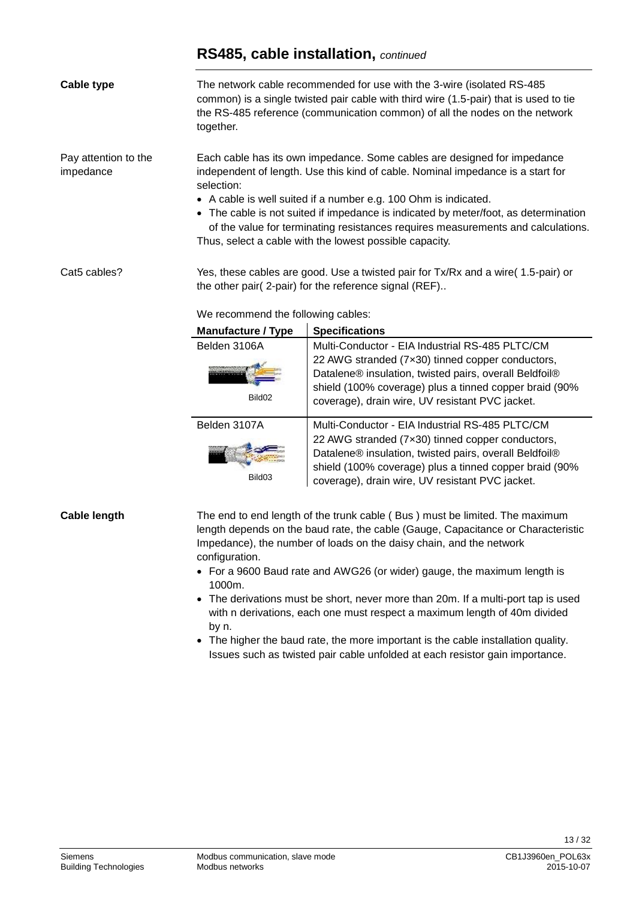### **RS485, cable installation,** *continued*

| Cable type                                                             | together.                          | The network cable recommended for use with the 3-wire (isolated RS-485)<br>common) is a single twisted pair cable with third wire (1.5-pair) that is used to tie<br>the RS-485 reference (communication common) of all the nodes on the network                                                                                                                                                                                                                    |  |
|------------------------------------------------------------------------|------------------------------------|--------------------------------------------------------------------------------------------------------------------------------------------------------------------------------------------------------------------------------------------------------------------------------------------------------------------------------------------------------------------------------------------------------------------------------------------------------------------|--|
| Pay attention to the<br>impedance                                      | selection:<br>$\bullet$            | Each cable has its own impedance. Some cables are designed for impedance<br>independent of length. Use this kind of cable. Nominal impedance is a start for<br>• A cable is well suited if a number e.g. 100 Ohm is indicated.<br>The cable is not suited if impedance is indicated by meter/foot, as determination<br>of the value for terminating resistances requires measurements and calculations.<br>Thus, select a cable with the lowest possible capacity. |  |
| Cat5 cables?<br>the other pair (2-pair) for the reference signal (REF) |                                    | Yes, these cables are good. Use a twisted pair for Tx/Rx and a wire(1.5-pair) or                                                                                                                                                                                                                                                                                                                                                                                   |  |
|                                                                        | We recommend the following cables: |                                                                                                                                                                                                                                                                                                                                                                                                                                                                    |  |
|                                                                        | <b>Manufacture / Type</b>          | <b>Specifications</b>                                                                                                                                                                                                                                                                                                                                                                                                                                              |  |
|                                                                        | Belden 3106A                       | Multi-Conductor - EIA Industrial RS-485 PLTC/CM<br>00.0000 $\frac{1}{2}$ $\frac{1}{2}$ $\frac{1}{2}$ $\frac{1}{2}$ $\frac{1}{2}$ $\frac{1}{2}$ $\frac{1}{2}$ $\frac{1}{2}$ $\frac{1}{2}$ $\frac{1}{2}$ $\frac{1}{2}$ $\frac{1}{2}$ $\frac{1}{2}$ $\frac{1}{2}$ $\frac{1}{2}$ $\frac{1}{2}$ $\frac{1}{2}$ $\frac{1}{2}$ $\frac{1}{2}$ $\frac{1}{2}$ $\frac{1}{2}$ $\frac$                                                                                           |  |

| Belden 3106A<br>Bild <sub>02</sub> | Multi-Conductor - EIA Industrial RS-485 PLTC/CM<br>22 AWG stranded (7x30) tinned copper conductors,<br>Datalene® insulation, twisted pairs, overall Beldfoil®<br>shield (100% coverage) plus a tinned copper braid (90%<br>coverage), drain wire, UV resistant PVC jacket. |
|------------------------------------|----------------------------------------------------------------------------------------------------------------------------------------------------------------------------------------------------------------------------------------------------------------------------|
| Belden 3107A<br>Bild <sub>03</sub> | Multi-Conductor - EIA Industrial RS-485 PLTC/CM<br>22 AWG stranded (7x30) tinned copper conductors,<br>Datalene® insulation, twisted pairs, overall Beldfoil®<br>shield (100% coverage) plus a tinned copper braid (90%                                                    |
|                                    | coverage), drain wire, UV resistant PVC jacket.                                                                                                                                                                                                                            |

#### **Cable length**

The end to end length of the trunk cable ( Bus ) must be limited. The maximum length depends on the baud rate, the cable (Gauge, Capacitance or Characteristic Impedance), the number of loads on the daisy chain, and the network configuration.

- For a 9600 Baud rate and AWG26 (or wider) gauge, the maximum length is 1000m.
- The derivations must be short, never more than 20m. If a multi-port tap is used with n derivations, each one must respect a maximum length of 40m divided by n.
- The higher the baud rate, the more important is the cable installation quality. Issues such as twisted pair cable unfolded at each resistor gain importance.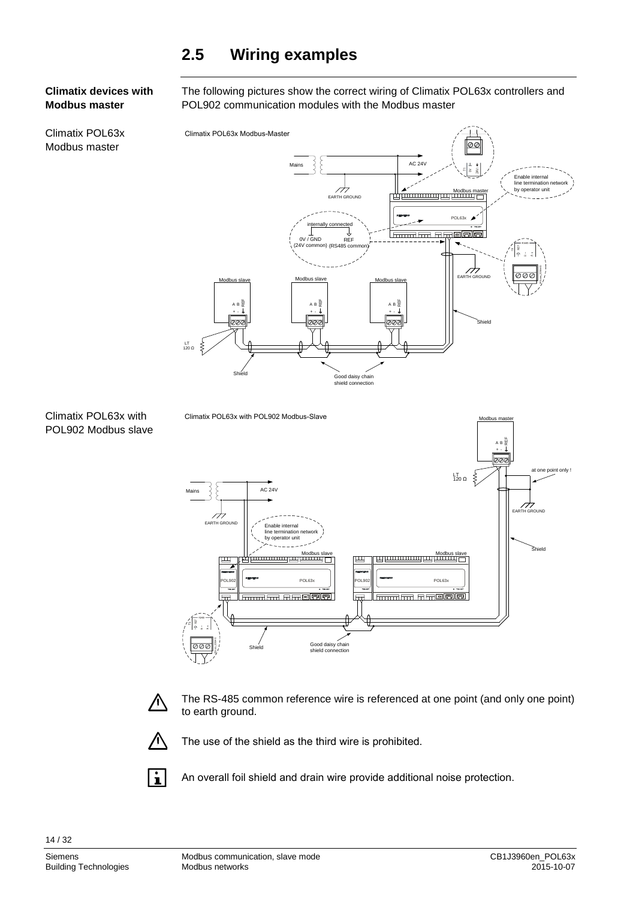### **2.5 Wiring examples**

#### **Climatix devices with Modbus master**

The following pictures show the correct wiring of Climatix POL63x controllers and POL902 communication modules with the Modbus master

Climatix POL63x Modbus master



Climatix POL63x with POL902 Modbus slave





The RS-485 common reference wire is referenced at one point (and only one point) to earth ground.



The use of the shield as the third wire is prohibited.



An overall foil shield and drain wire provide additional noise protection.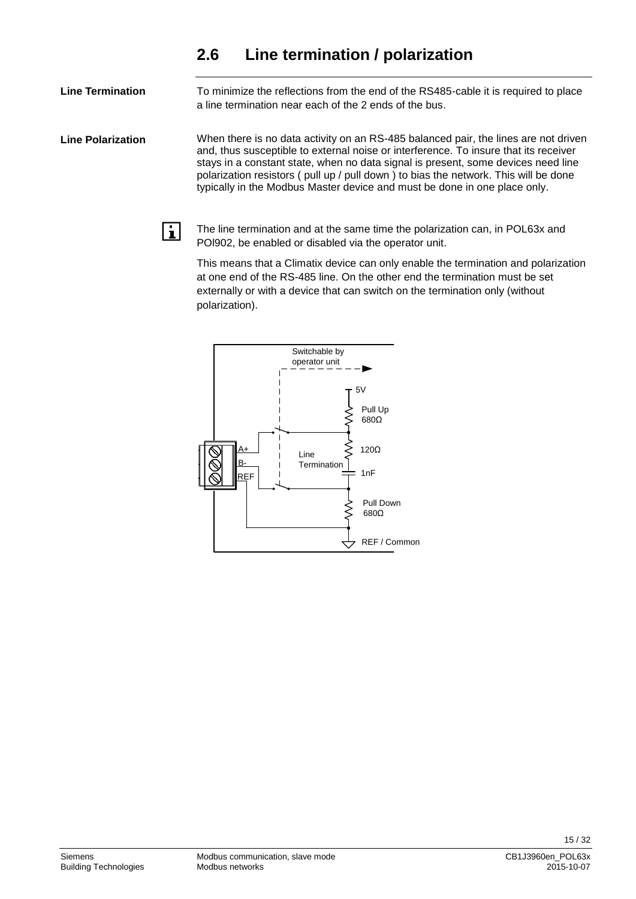### **2.6 Line termination / polarization**

To minimize the reflections from the end of the RS485-cable it is required to place a line termination near each of the 2 ends of the bus. **Line Termination**

When there is no data activity on an RS-485 balanced pair, the lines are not driven and, thus susceptible to external noise or interference. To insure that its receiver stays in a constant state, when no data signal is present, some devices need line polarization resistors ( pull up / pull down ) to bias the network. This will be done typically in the Modbus Master device and must be done in one place only. **Line Polarization**

 $\vert \cdot \vert$ 

The line termination and at the same time the polarization can, in POL63x and POl902, be enabled or disabled via the operator unit.

This means that a Climatix device can only enable the termination and polarization at one end of the RS-485 line. On the other end the termination must be set externally or with a device that can switch on the termination only (without polarization).

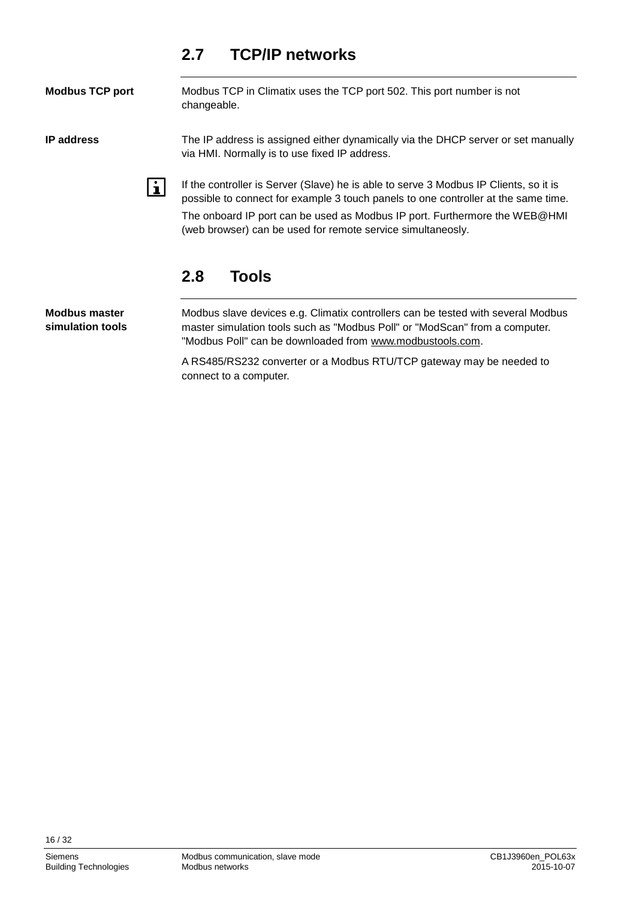### **2.7 TCP/IP networks**

| <b>Modbus TCP port</b> | Modbus TCP in Climatix uses the TCP port 502. This port number is not<br>changeable.                                                                                                                                                                                                                                     |  |
|------------------------|--------------------------------------------------------------------------------------------------------------------------------------------------------------------------------------------------------------------------------------------------------------------------------------------------------------------------|--|
| <b>IP</b> address      | The IP address is assigned either dynamically via the DHCP server or set manually<br>via HMI. Normally is to use fixed IP address.                                                                                                                                                                                       |  |
| $ \mathbf{i} $         | If the controller is Server (Slave) he is able to serve 3 Modbus IP Clients, so it is<br>possible to connect for example 3 touch panels to one controller at the same time.<br>The onboard IP port can be used as Modbus IP port. Furthermore the WEB@HMI<br>(web browser) can be used for remote service simultaneosly. |  |
|                        | <b>Tools</b>                                                                                                                                                                                                                                                                                                             |  |

#### **Modbus master simulation tools**

Modbus slave devices e.g. Climatix controllers can be tested with several Modbus master simulation tools such as "Modbus Poll" or "ModScan" from a computer. "Modbus Poll" can be downloaded from www.modbustools.com.

A RS485/RS232 converter or a Modbus RTU/TCP gateway may be needed to connect to a computer.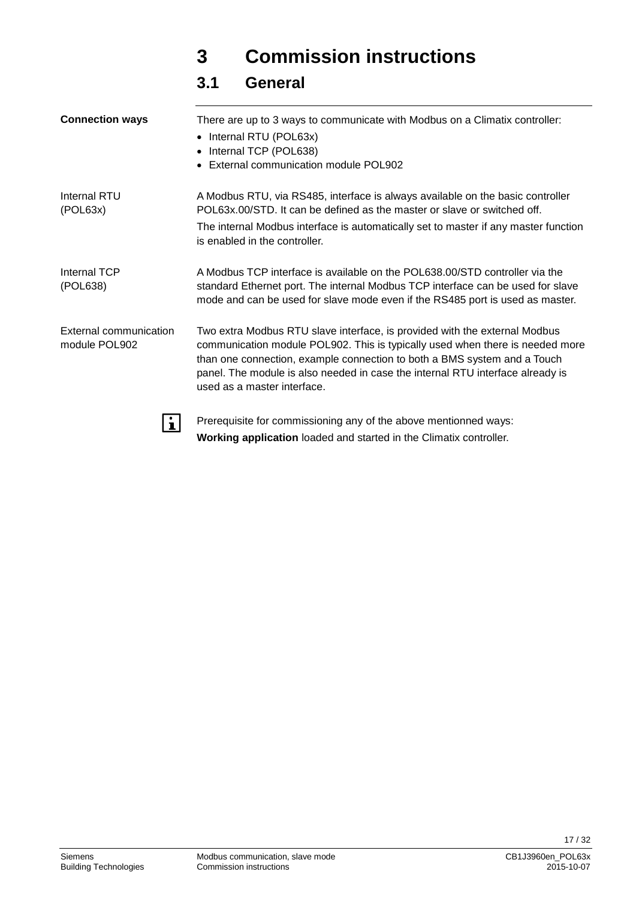# **3 Commission instructions**

**3.1 General**

| <b>Connection ways</b>                  | There are up to 3 ways to communicate with Modbus on a Climatix controller:<br>• Internal RTU (POL63x)<br>Internal TCP (POL638)<br>$\bullet$<br><b>External communication module POL902</b><br>$\bullet$                                                                                                                                                 |  |
|-----------------------------------------|----------------------------------------------------------------------------------------------------------------------------------------------------------------------------------------------------------------------------------------------------------------------------------------------------------------------------------------------------------|--|
| Internal RTU<br>(POL63x)                | A Modbus RTU, via RS485, interface is always available on the basic controller<br>POL63x,00/STD. It can be defined as the master or slave or switched off.<br>The internal Modbus interface is automatically set to master if any master function                                                                                                        |  |
| Internal TCP<br>(POL638)                | is enabled in the controller.<br>A Modbus TCP interface is available on the POL638.00/STD controller via the<br>standard Ethernet port. The internal Modbus TCP interface can be used for slave<br>mode and can be used for slave mode even if the RS485 port is used as master.                                                                         |  |
| External communication<br>module POL902 | Two extra Modbus RTU slave interface, is provided with the external Modbus<br>communication module POL902. This is typically used when there is needed more<br>than one connection, example connection to both a BMS system and a Touch<br>panel. The module is also needed in case the internal RTU interface already is<br>used as a master interface. |  |
| $\mathbf{L}$                            | Prerequisite for commissioning any of the above mentionned ways:<br>Working application loaded and started in the Climatix controller.                                                                                                                                                                                                                   |  |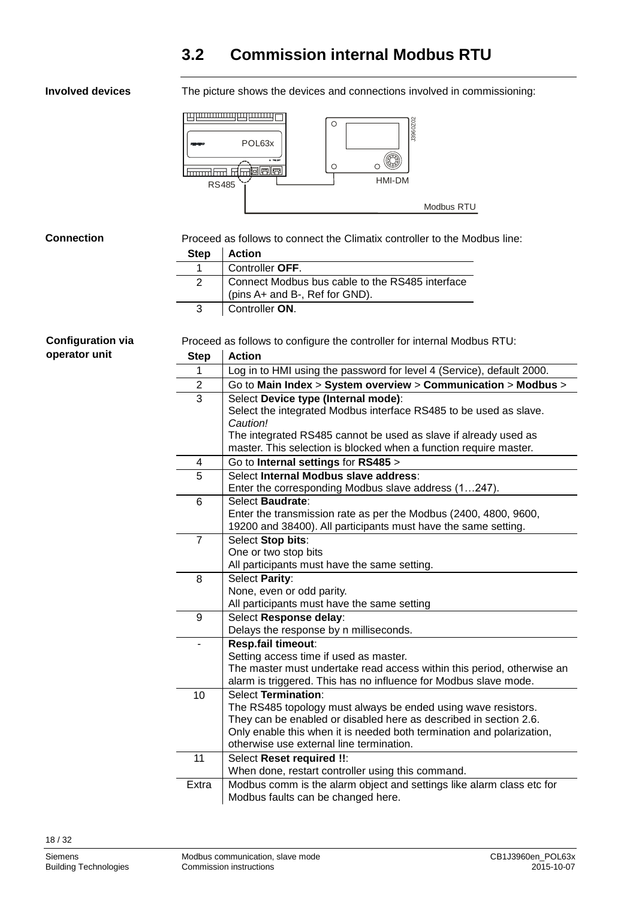### **3.2 Commission internal Modbus RTU**

#### **Involved devices**

The picture shows the devices and connections involved in commissioning:



#### **Connection**

Proceed as follows to connect the Climatix controller to the Modbus line:

| Step | ∣ Action                                                                          |
|------|-----------------------------------------------------------------------------------|
|      | Controller OFF.                                                                   |
|      | Connect Modbus bus cable to the RS485 interface<br>(pins A+ and B-, Ref for GND). |
|      | Controller ON.                                                                    |

| <b>Configuration via</b> |  |
|--------------------------|--|
| operator unit            |  |

Proceed as follows to configure the controller for internal Modbus RTU:

| <b>Step</b>    | <b>Action</b>                                                                                                                                                                                                                                                                  |
|----------------|--------------------------------------------------------------------------------------------------------------------------------------------------------------------------------------------------------------------------------------------------------------------------------|
| 1              | Log in to HMI using the password for level 4 (Service), default 2000.                                                                                                                                                                                                          |
| $\overline{2}$ | Go to Main Index > System overview > Communication > Modbus >                                                                                                                                                                                                                  |
| 3              | Select Device type (Internal mode):<br>Select the integrated Modbus interface RS485 to be used as slave.<br>Caution!<br>The integrated RS485 cannot be used as slave if already used as<br>master. This selection is blocked when a function require master.                   |
| 4              | Go to Internal settings for RS485 >                                                                                                                                                                                                                                            |
| $\overline{5}$ | Select Internal Modbus slave address:<br>Enter the corresponding Modbus slave address (1247).                                                                                                                                                                                  |
| 6              | Select Baudrate:<br>Enter the transmission rate as per the Modbus (2400, 4800, 9600,<br>19200 and 38400). All participants must have the same setting.                                                                                                                         |
| 7              | Select Stop bits:<br>One or two stop bits<br>All participants must have the same setting.                                                                                                                                                                                      |
| 8              | Select Parity:<br>None, even or odd parity.<br>All participants must have the same setting                                                                                                                                                                                     |
| 9              | Select Response delay:<br>Delays the response by n milliseconds.                                                                                                                                                                                                               |
|                | Resp.fail timeout:<br>Setting access time if used as master.<br>The master must undertake read access within this period, otherwise an<br>alarm is triggered. This has no influence for Modbus slave mode.                                                                     |
| 10             | Select Termination:<br>The RS485 topology must always be ended using wave resistors.<br>They can be enabled or disabled here as described in section 2.6.<br>Only enable this when it is needed both termination and polarization,<br>otherwise use external line termination. |
| 11             | Select Reset required !!:<br>When done, restart controller using this command.                                                                                                                                                                                                 |
| Extra          | Modbus comm is the alarm object and settings like alarm class etc for<br>Modbus faults can be changed here.                                                                                                                                                                    |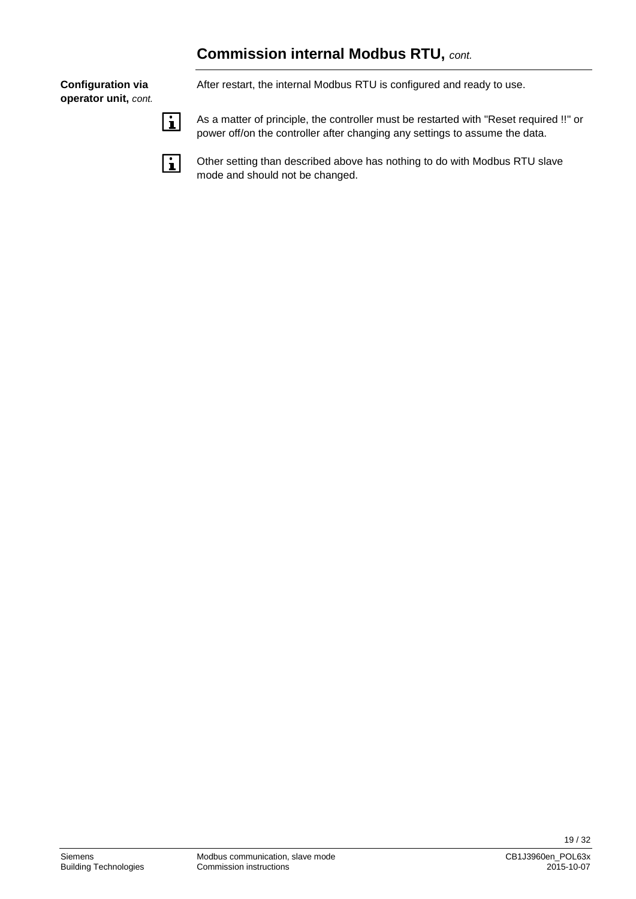### **Commission internal Modbus RTU,** *cont.*

After restart, the internal Modbus RTU is configured and ready to use.

**Configuration via operator unit,** *cont.*

 $\boxed{\mathbf{i}}$ 

As a matter of principle, the controller must be restarted with "Reset required !!" or power off/on the controller after changing any settings to assume the data.



Other setting than described above has nothing to do with Modbus RTU slave mode and should not be changed.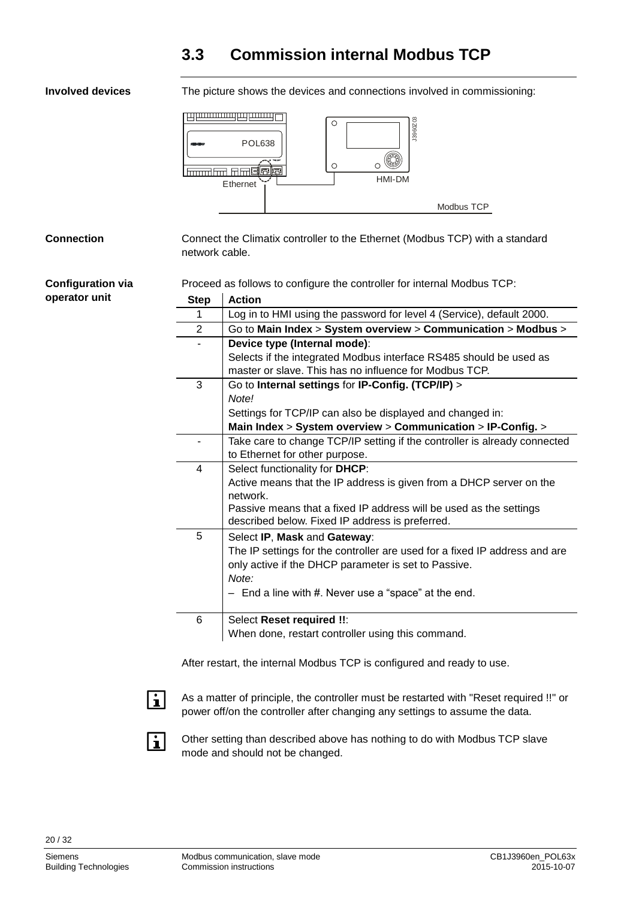### **3.3 Commission internal Modbus TCP**

#### **Involved devices**

The picture shows the devices and connections involved in commissioning:



**Connection**

Connect the Climatix controller to the Ethernet (Modbus TCP) with a standard network cable.

**Configuration via operator unit**

Proceed as follows to configure the controller for internal Modbus TCP:

| <b>Step</b>    | <b>Action</b>                                                              |
|----------------|----------------------------------------------------------------------------|
| 1              | Log in to HMI using the password for level 4 (Service), default 2000.      |
| $\overline{2}$ | Go to Main Index > System overview > Communication > Modbus >              |
|                | Device type (Internal mode):                                               |
|                | Selects if the integrated Modbus interface RS485 should be used as         |
|                | master or slave. This has no influence for Modbus TCP.                     |
| 3              | Go to Internal settings for IP-Config. (TCP/IP) >                          |
|                | Note!                                                                      |
|                | Settings for TCP/IP can also be displayed and changed in:                  |
|                | Main Index > System overview > Communication > IP-Config. >                |
|                | Take care to change TCP/IP setting if the controller is already connected  |
|                | to Ethernet for other purpose.                                             |
| 4              | Select functionality for DHCP:                                             |
|                | Active means that the IP address is given from a DHCP server on the        |
|                | network.                                                                   |
|                | Passive means that a fixed IP address will be used as the settings         |
|                | described below. Fixed IP address is preferred.                            |
| 5              | Select IP, Mask and Gateway:                                               |
|                | The IP settings for the controller are used for a fixed IP address and are |
|                | only active if the DHCP parameter is set to Passive.                       |
|                | Note:                                                                      |
|                | - End a line with #. Never use a "space" at the end.                       |
|                |                                                                            |
| 6              | Select Reset required !!:                                                  |
|                | Whon done restert controller using this command                            |

When done, restart controller using this command.

After restart, the internal Modbus TCP is configured and ready to use.

 $| \cdot |$ 

As a matter of principle, the controller must be restarted with "Reset required !!" or power off/on the controller after changing any settings to assume the data.



Other setting than described above has nothing to do with Modbus TCP slave mode and should not be changed.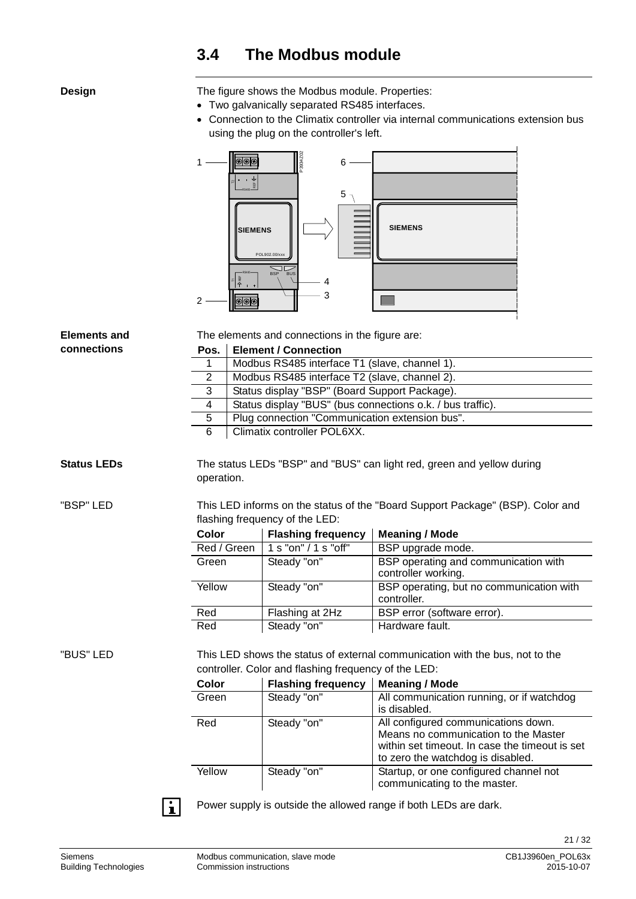### **3.4 The Modbus module**

**Design**

- The figure shows the Modbus module. Properties:
- Two galvanically separated RS485 interfaces.
- Connection to the Climatix controller via internal communications extension bus using the plug on the controller's left.



| <b>Elements and</b> | The elements and connections in the figure are:      |                                                                                                                  |                                                                                                                                                                    |  |  |  |
|---------------------|------------------------------------------------------|------------------------------------------------------------------------------------------------------------------|--------------------------------------------------------------------------------------------------------------------------------------------------------------------|--|--|--|
| connections         | <b>Element / Connection</b><br>Pos.                  |                                                                                                                  |                                                                                                                                                                    |  |  |  |
|                     | 1                                                    | Modbus RS485 interface T1 (slave, channel 1).                                                                    |                                                                                                                                                                    |  |  |  |
|                     | $\overline{2}$                                       | Modbus RS485 interface T2 (slave, channel 2).                                                                    |                                                                                                                                                                    |  |  |  |
|                     | 3                                                    | Status display "BSP" (Board Support Package).                                                                    |                                                                                                                                                                    |  |  |  |
|                     | 4                                                    | Status display "BUS" (bus connections o.k. / bus traffic).                                                       |                                                                                                                                                                    |  |  |  |
|                     | 5                                                    | Plug connection "Communication extension bus".                                                                   |                                                                                                                                                                    |  |  |  |
|                     | 6                                                    | Climatix controller POL6XX.                                                                                      |                                                                                                                                                                    |  |  |  |
| <b>Status LEDs</b>  | operation.                                           | The status LEDs "BSP" and "BUS" can light red, green and yellow during                                           |                                                                                                                                                                    |  |  |  |
| "BSP" LED           |                                                      | This LED informs on the status of the "Board Support Package" (BSP). Color and<br>flashing frequency of the LED: |                                                                                                                                                                    |  |  |  |
|                     | <b>Color</b>                                         | <b>Flashing frequency</b>                                                                                        | <b>Meaning / Mode</b>                                                                                                                                              |  |  |  |
|                     | Red / Green                                          | 1 s "on" / 1 s "off"                                                                                             | BSP upgrade mode.                                                                                                                                                  |  |  |  |
|                     | Green                                                | Steady "on"                                                                                                      | BSP operating and communication with<br>controller working.                                                                                                        |  |  |  |
|                     | Yellow                                               | Steady "on"                                                                                                      | BSP operating, but no communication with<br>controller.                                                                                                            |  |  |  |
|                     | Red                                                  | Flashing at 2Hz                                                                                                  | BSP error (software error).                                                                                                                                        |  |  |  |
|                     | Red                                                  | Steady "on"                                                                                                      | Hardware fault.                                                                                                                                                    |  |  |  |
| "BUS" LED           |                                                      |                                                                                                                  | This LED shows the status of external communication with the bus, not to the                                                                                       |  |  |  |
|                     | controller. Color and flashing frequency of the LED: |                                                                                                                  |                                                                                                                                                                    |  |  |  |
|                     | Color                                                | <b>Flashing frequency</b>                                                                                        | <b>Meaning / Mode</b>                                                                                                                                              |  |  |  |
|                     | Green                                                | Steady "on"                                                                                                      | All communication running, or if watchdog<br>is disabled.                                                                                                          |  |  |  |
|                     | Red                                                  | Steady "on"                                                                                                      | All configured communications down.<br>Means no communication to the Master<br>within set timeout. In case the timeout is set<br>to zero the watchdog is disabled. |  |  |  |
|                     | Yellow                                               | Steady "on"                                                                                                      | Startup, or one configured channel not<br>communicating to the master.                                                                                             |  |  |  |

Power supply is outside the allowed range if both LEDs are dark.

 $\boxed{\mathbf{i}}$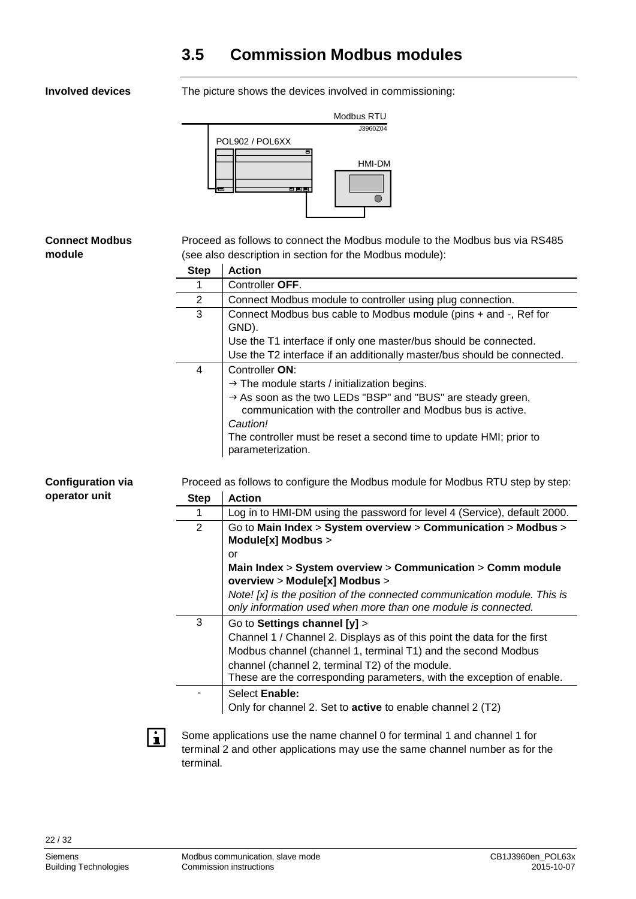### **3.5 Commission Modbus modules**

#### **Involved devices**

**Connect Modbus** 

**module**

The picture shows the devices involved in commissioning:



Proceed as follows to connect the Modbus module to the Modbus bus via RS485 (see also description in section for the Modbus module):

| <b>Step</b> | <b>Action</b>                                                                  |
|-------------|--------------------------------------------------------------------------------|
|             | Controller OFF.                                                                |
| 2           | Connect Modbus module to controller using plug connection.                     |
| 3           | Connect Modbus bus cable to Modbus module (pins $+$ and $-$ , Ref for<br>GND). |
|             | Use the T1 interface if only one master/bus should be connected.               |
|             | Use the T2 interface if an additionally master/bus should be connected.        |
| 4           | Controller ON:                                                                 |
|             | $\rightarrow$ The module starts / initialization begins.                       |
|             | $\rightarrow$ As soon as the two LEDs "BSP" and "BUS" are steady green,        |
|             | communication with the controller and Modbus bus is active.                    |
|             | Caution!                                                                       |
|             | The controller must be reset a second time to update HMI; prior to             |
|             | parameterization.                                                              |

| <b>Configuration via</b> |             | Proceed as follows to configure the Modbus module for Modbus RTU step by step:                                                            |
|--------------------------|-------------|-------------------------------------------------------------------------------------------------------------------------------------------|
| operator unit            | <b>Step</b> | <b>Action</b>                                                                                                                             |
|                          |             | Log in to HMI-DM using the password for level 4 (Service), default 2000.                                                                  |
|                          | 2           | Go to Main Index > System overview > Communication > Modbus ><br>Module[x] Modbus >                                                       |
|                          |             | or                                                                                                                                        |
|                          |             | Main Index > System overview > Communication > Comm module<br>overview > Module[x] Modbus >                                               |
|                          |             | Note! [x] is the position of the connected communication module. This is<br>only information used when more than one module is connected. |
|                          | 3           | Go to Settings channel [y] >                                                                                                              |
|                          |             | Channel 1 / Channel 2. Displays as of this point the data for the first                                                                   |
|                          |             | Modbus channel (channel 1, terminal T1) and the second Modbus                                                                             |
|                          |             | channel (channel 2, terminal T2) of the module.                                                                                           |
|                          |             | These are the corresponding parameters, with the exception of enable.                                                                     |
|                          |             | Select Enable:                                                                                                                            |
|                          |             | Only for channel 2. Set to <b>active</b> to enable channel 2 (T2)                                                                         |
|                          |             | Some applications use the name channel 0 for terminal 1 and channel 1 for                                                                 |

Some applications use the name channel 0 for terminal 1 and channel 1 for terminal 2 and other applications may use the same channel number as for the terminal.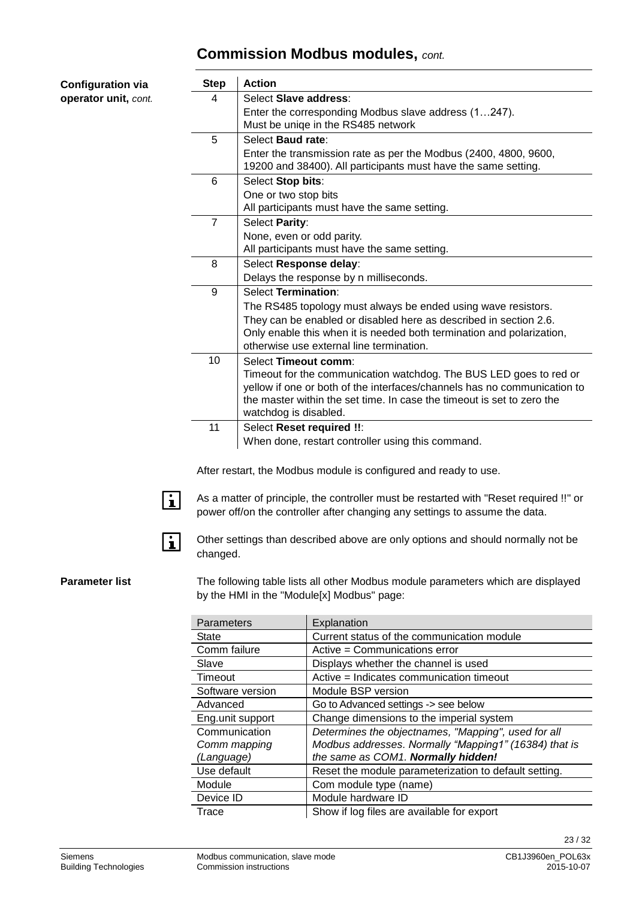### **Commission Modbus modules,** *cont.*

**Configuration via operator unit,** *cont.*

| <b>Step</b>    | <b>Action</b>                                                                                                                                      |
|----------------|----------------------------------------------------------------------------------------------------------------------------------------------------|
| 4              | Select Slave address:                                                                                                                              |
|                | Enter the corresponding Modbus slave address (1247).                                                                                               |
|                | Must be uniqe in the RS485 network                                                                                                                 |
| 5              | Select Baud rate:                                                                                                                                  |
|                | Enter the transmission rate as per the Modbus (2400, 4800, 9600,                                                                                   |
|                | 19200 and 38400). All participants must have the same setting.                                                                                     |
| 6              | Select Stop bits:                                                                                                                                  |
|                | One or two stop bits                                                                                                                               |
|                | All participants must have the same setting.                                                                                                       |
| $\overline{7}$ | Select Parity:                                                                                                                                     |
|                | None, even or odd parity.                                                                                                                          |
|                | All participants must have the same setting.                                                                                                       |
| 8              | Select Response delay:                                                                                                                             |
|                | Delays the response by n milliseconds.                                                                                                             |
| 9              | Select Termination:                                                                                                                                |
|                | The RS485 topology must always be ended using wave resistors.                                                                                      |
|                | They can be enabled or disabled here as described in section 2.6.                                                                                  |
|                | Only enable this when it is needed both termination and polarization,                                                                              |
|                | otherwise use external line termination.                                                                                                           |
| 10             | Select Timeout comm:                                                                                                                               |
|                | Timeout for the communication watchdog. The BUS LED goes to red or                                                                                 |
|                | yellow if one or both of the interfaces/channels has no communication to<br>the master within the set time. In case the timeout is set to zero the |
|                | watchdog is disabled.                                                                                                                              |
| 11             | Select Reset required !!:                                                                                                                          |
|                | When done, restart controller using this command.                                                                                                  |
|                |                                                                                                                                                    |

After restart, the Modbus module is configured and ready to use.



As a matter of principle, the controller must be restarted with "Reset required !!" or power off/on the controller after changing any settings to assume the data.



Other settings than described above are only options and should normally not be changed.

#### **Parameter list**

The following table lists all other Modbus module parameters which are displayed by the HMI in the "Module[x] Modbus" page:

| Parameters       | Explanation                                           |
|------------------|-------------------------------------------------------|
| <b>State</b>     | Current status of the communication module            |
| Comm failure     | Active = Communications error                         |
| Slave            | Displays whether the channel is used                  |
| Timeout          | Active = Indicates communication timeout              |
| Software version | Module BSP version                                    |
| Advanced         | Go to Advanced settings -> see below                  |
| Eng.unit support | Change dimensions to the imperial system              |
| Communication    | Determines the objectnames, "Mapping", used for all   |
| Comm mapping     | Modbus addresses. Normally "Mapping1" (16384) that is |
| (Language)       | the same as COM1. Normally hidden!                    |
| Use default      | Reset the module parameterization to default setting. |
| Module           | Com module type (name)                                |
| Device ID        | Module hardware ID                                    |
| Trace            | Show if log files are available for export            |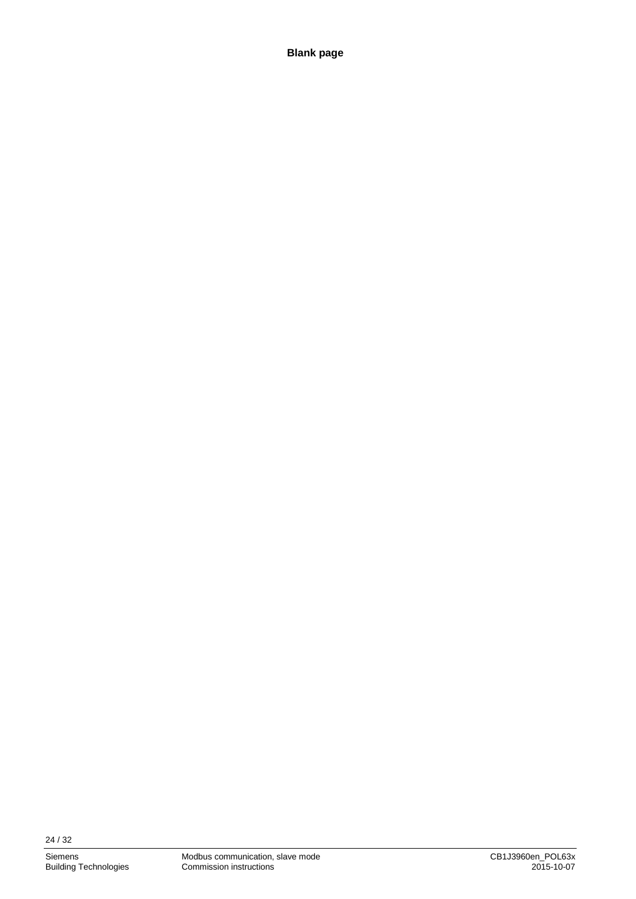**Blank page**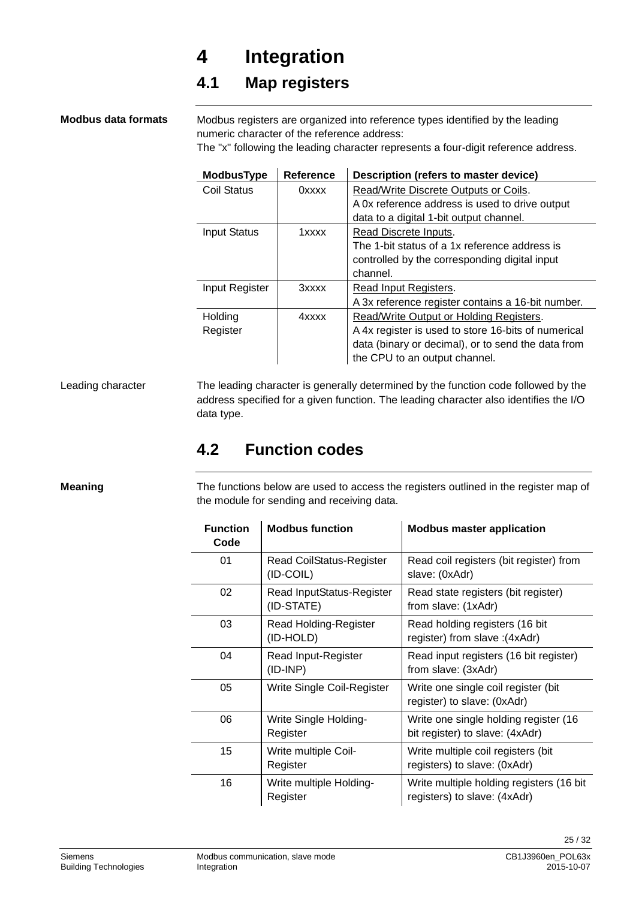# **4 Integration**

### **4.1 Map registers**

#### Modbus registers are organized into reference types identified by the leading numeric character of the reference address: **Modbus data formats**

The "x" following the leading character represents a four-digit reference address.

| <b>ModbusType</b>   | Reference | Description (refers to master device)               |
|---------------------|-----------|-----------------------------------------------------|
| Coil Status         | 0xxxx     | Read/Write Discrete Outputs or Coils.               |
|                     |           | A 0x reference address is used to drive output      |
|                     |           | data to a digital 1-bit output channel.             |
| <b>Input Status</b> | 1xxxx     | Read Discrete Inputs.                               |
|                     |           | The 1-bit status of a 1x reference address is       |
|                     |           | controlled by the corresponding digital input       |
|                     |           | channel.                                            |
| Input Register      | 3xxxx     | Read Input Registers.                               |
|                     |           | A 3x reference register contains a 16-bit number.   |
| Holding             | 4xxxx     | Read/Write Output or Holding Registers.             |
| Register            |           | A 4x register is used to store 16-bits of numerical |
|                     |           | data (binary or decimal), or to send the data from  |
|                     |           | the CPU to an output channel.                       |

The leading character is generally determined by the function code followed by the address specified for a given function. The leading character also identifies the I/O data type. Leading character

### **4.2 Function codes**

#### **Meaning**

The functions below are used to access the registers outlined in the register map of the module for sending and receiving data.

| <b>Function</b><br>Code | <b>Modbus function</b>                       | <b>Modbus master application</b>                                          |
|-------------------------|----------------------------------------------|---------------------------------------------------------------------------|
| 01                      | <b>Read CoilStatus-Register</b><br>(ID-COIL) | Read coil registers (bit register) from<br>slave: (0xAdr)                 |
| 02                      | Read InputStatus-Register<br>(ID-STATE)      | Read state registers (bit register)<br>from slave: (1xAdr)                |
| 03                      | Read Holding-Register<br>(ID-HOLD)           | Read holding registers (16 bit<br>register) from slave : (4xAdr)          |
| 04                      | Read Input-Register<br>$(ID-IMP)$            | Read input registers (16 bit register)<br>from slave: (3xAdr)             |
| 05                      | Write Single Coil-Register                   | Write one single coil register (bit<br>register) to slave: (0xAdr)        |
| 06                      | Write Single Holding-<br>Register            | Write one single holding register (16<br>bit register) to slave: (4xAdr)  |
| 15                      | Write multiple Coil-<br>Register             | Write multiple coil registers (bit<br>registers) to slave: (0xAdr)        |
| 16                      | Write multiple Holding-<br>Register          | Write multiple holding registers (16 bit)<br>registers) to slave: (4xAdr) |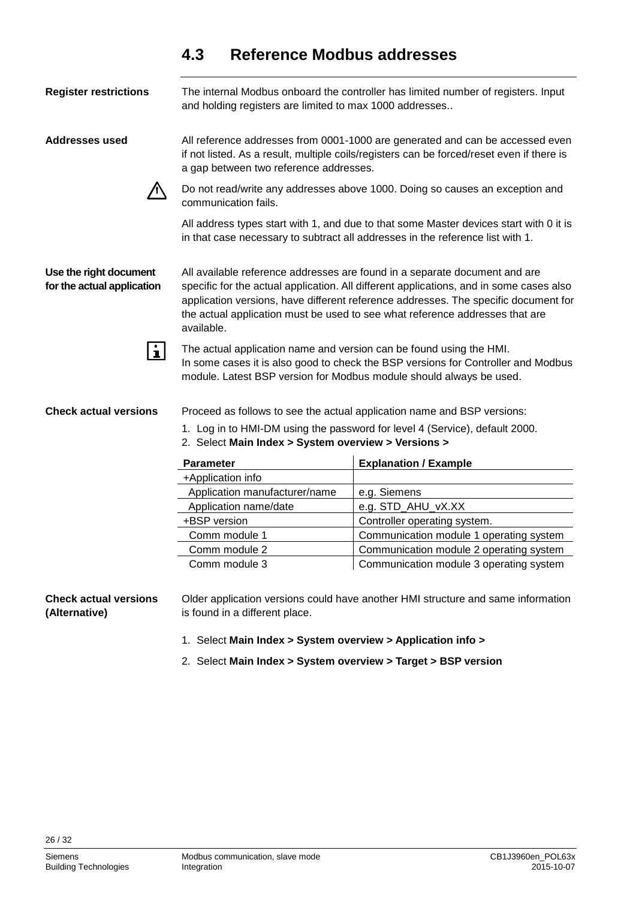### **4.3 Reference Modbus addresses**

| <b>Register restrictions</b>                         | The internal Modbus onboard the controller has limited number of registers. Input<br>and holding registers are limited to max 1000 addresses                                                                                                                                                                                                               |                                                                                                                                                                          |  |  |
|------------------------------------------------------|------------------------------------------------------------------------------------------------------------------------------------------------------------------------------------------------------------------------------------------------------------------------------------------------------------------------------------------------------------|--------------------------------------------------------------------------------------------------------------------------------------------------------------------------|--|--|
| <b>Addresses used</b>                                | All reference addresses from 0001-1000 are generated and can be accessed even<br>if not listed. As a result, multiple coils/registers can be forced/reset even if there is<br>a gap between two reference addresses.                                                                                                                                       |                                                                                                                                                                          |  |  |
|                                                      | communication fails.                                                                                                                                                                                                                                                                                                                                       | Do not read/write any addresses above 1000. Doing so causes an exception and                                                                                             |  |  |
|                                                      |                                                                                                                                                                                                                                                                                                                                                            | All address types start with 1, and due to that some Master devices start with 0 it is<br>in that case necessary to subtract all addresses in the reference list with 1. |  |  |
| Use the right document<br>for the actual application | All available reference addresses are found in a separate document and are<br>specific for the actual application. All different applications, and in some cases also<br>application versions, have different reference addresses. The specific document for<br>the actual application must be used to see what reference addresses that are<br>available. |                                                                                                                                                                          |  |  |
| $\mathbf{i}$                                         | The actual application name and version can be found using the HMI.<br>In some cases it is also good to check the BSP versions for Controller and Modbus<br>module. Latest BSP version for Modbus module should always be used.                                                                                                                            |                                                                                                                                                                          |  |  |
| <b>Check actual versions</b>                         | Proceed as follows to see the actual application name and BSP versions:                                                                                                                                                                                                                                                                                    |                                                                                                                                                                          |  |  |
|                                                      | 1. Log in to HMI-DM using the password for level 4 (Service), default 2000.<br>2. Select Main Index > System overview > Versions >                                                                                                                                                                                                                         |                                                                                                                                                                          |  |  |
|                                                      | <b>Parameter</b>                                                                                                                                                                                                                                                                                                                                           | <b>Explanation / Example</b>                                                                                                                                             |  |  |
|                                                      | +Application info                                                                                                                                                                                                                                                                                                                                          |                                                                                                                                                                          |  |  |
|                                                      | Application manufacturer/name                                                                                                                                                                                                                                                                                                                              | e.g. Siemens                                                                                                                                                             |  |  |
|                                                      | Application name/date                                                                                                                                                                                                                                                                                                                                      | e.g. STD_AHU_vX.XX                                                                                                                                                       |  |  |
|                                                      | +BSP version                                                                                                                                                                                                                                                                                                                                               | Controller operating system.                                                                                                                                             |  |  |
|                                                      | Comm module 1                                                                                                                                                                                                                                                                                                                                              | Communication module 1 operating system                                                                                                                                  |  |  |
|                                                      | Comm module 2                                                                                                                                                                                                                                                                                                                                              | Communication module 2 operating system                                                                                                                                  |  |  |
|                                                      | Comm module 3                                                                                                                                                                                                                                                                                                                                              | Communication module 3 operating system                                                                                                                                  |  |  |
| <b>Check actual versions</b><br>(Alternative)        | Older application versions could have another HMI structure and same information<br>is found in a different place.                                                                                                                                                                                                                                         |                                                                                                                                                                          |  |  |
|                                                      | 1. Select Main Index > System overview > Application info >                                                                                                                                                                                                                                                                                                |                                                                                                                                                                          |  |  |

2. Select **Main Index > System overview > Target > BSP version**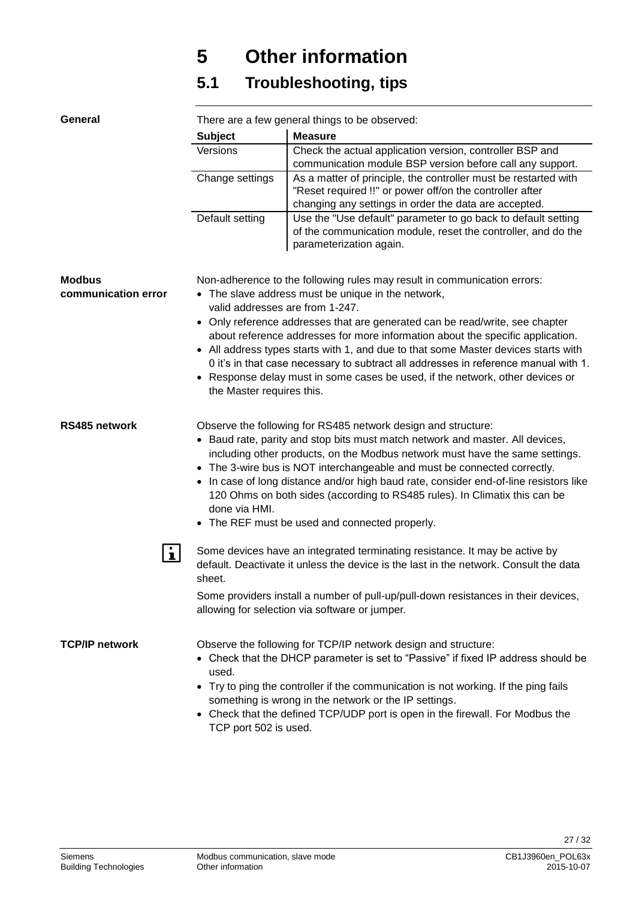# **5 Other information**

# **5.1 Troubleshooting, tips**

| General                              | There are a few general things to be observed:               |                                                                                                                                                                                                                                                                                                                                                                                                                                                                                                                                                              |  |  |
|--------------------------------------|--------------------------------------------------------------|--------------------------------------------------------------------------------------------------------------------------------------------------------------------------------------------------------------------------------------------------------------------------------------------------------------------------------------------------------------------------------------------------------------------------------------------------------------------------------------------------------------------------------------------------------------|--|--|
|                                      | <b>Subject</b>                                               | <b>Measure</b>                                                                                                                                                                                                                                                                                                                                                                                                                                                                                                                                               |  |  |
|                                      | Versions                                                     | Check the actual application version, controller BSP and<br>communication module BSP version before call any support.                                                                                                                                                                                                                                                                                                                                                                                                                                        |  |  |
|                                      | Change settings                                              | As a matter of principle, the controller must be restarted with<br>"Reset required !!" or power off/on the controller after<br>changing any settings in order the data are accepted.                                                                                                                                                                                                                                                                                                                                                                         |  |  |
|                                      | Default setting                                              | Use the "Use default" parameter to go back to default setting<br>of the communication module, reset the controller, and do the<br>parameterization again.                                                                                                                                                                                                                                                                                                                                                                                                    |  |  |
| <b>Modbus</b><br>communication error | valid addresses are from 1-247.<br>the Master requires this. | Non-adherence to the following rules may result in communication errors:<br>• The slave address must be unique in the network,<br>• Only reference addresses that are generated can be read/write, see chapter<br>about reference addresses for more information about the specific application.<br>• All address types starts with 1, and due to that some Master devices starts with<br>0 it's in that case necessary to subtract all addresses in reference manual with 1.<br>Response delay must in some cases be used, if the network, other devices or |  |  |
| <b>RS485 network</b>                 | done via HMI.                                                | Observe the following for RS485 network design and structure:<br>• Baud rate, parity and stop bits must match network and master. All devices,<br>including other products, on the Modbus network must have the same settings.<br>• The 3-wire bus is NOT interchangeable and must be connected correctly.<br>In case of long distance and/or high baud rate, consider end-of-line resistors like<br>120 Ohms on both sides (according to RS485 rules). In Climatix this can be<br>• The REF must be used and connected properly.                            |  |  |
| $\mathbf{i}$                         | sheet.                                                       | Some devices have an integrated terminating resistance. It may be active by<br>default. Deactivate it unless the device is the last in the network. Consult the data<br>Some providers install a number of pull-up/pull-down resistances in their devices,<br>allowing for selection via software or jumper.                                                                                                                                                                                                                                                 |  |  |
| <b>TCP/IP network</b>                | used.<br>TCP port 502 is used.                               | Observe the following for TCP/IP network design and structure:<br>• Check that the DHCP parameter is set to "Passive" if fixed IP address should be<br>• Try to ping the controller if the communication is not working. If the ping fails<br>something is wrong in the network or the IP settings.<br>Check that the defined TCP/UDP port is open in the firewall. For Modbus the                                                                                                                                                                           |  |  |

Building Technologies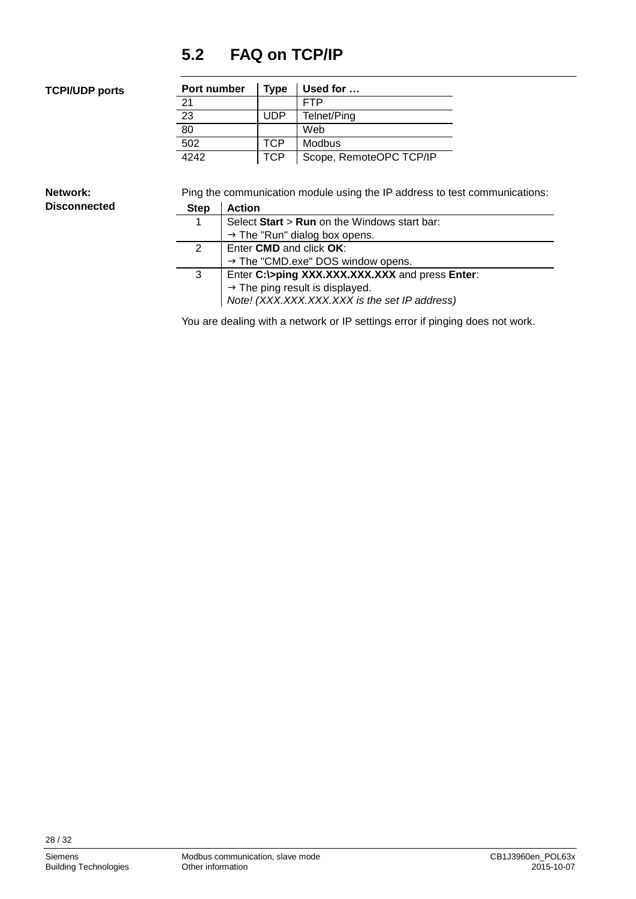### **5.2 FAQ on TCP/IP**

#### **TCPI/UDP ports**

| Port number | <b>Type</b> | Used for                |
|-------------|-------------|-------------------------|
| 21          |             | FTP                     |
| 23          | UDP         | Telnet/Ping             |
| 80          |             | Web                     |
| 502         | TCP         | <b>Modbus</b>           |
| 4242        | <b>TCP</b>  | Scope, RemoteOPC TCP/IP |

#### **Network: Disconnected**

Ping the communication module using the IP address to test communications:

| <b>Step</b> | <b>Action</b>                                   |
|-------------|-------------------------------------------------|
| 1           | Select Start > Run on the Windows start bar:    |
|             | $\rightarrow$ The "Run" dialog box opens.       |
| 2           | Enter CMD and click OK:                         |
|             | → The "CMD.exe" DOS window opens.               |
| 3           | Enter C:\>ping XXX.XXX.XXX.XXX and press Enter: |
|             | $\rightarrow$ The ping result is displayed.     |
|             | Note! (XXX.XXX.XXX.XXX is the set IP address)   |

You are dealing with a network or IP settings error if pinging does not work.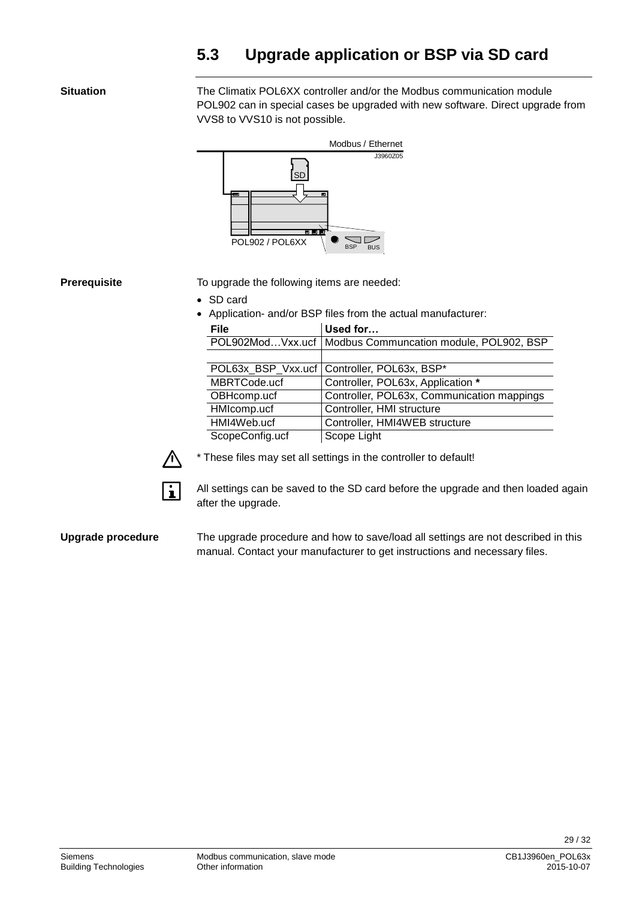### **5.3 Upgrade application or BSP via SD card**

#### **Situation**

The Climatix POL6XX controller and/or the Modbus communication module POL902 can in special cases be upgraded with new software. Direct upgrade from VVS8 to VVS10 is not possible.



**Prerequisite**

- To upgrade the following items are needed:
- SD card
- Application- and/or BSP files from the actual manufacturer:

| <b>File</b>     | Used for                                                   |
|-----------------|------------------------------------------------------------|
|                 | POL902ModVxx.ucf   Modbus Communcation module, POL902, BSP |
|                 |                                                            |
|                 | POL63x BSP Vxx.ucf   Controller, POL63x, BSP*              |
| MBRTCode.ucf    | Controller, POL63x, Application *                          |
| OBHcomp.ucf     | Controller, POL63x, Communication mappings                 |
| HMIcomp.ucf     | Controller, HMI structure                                  |
| HMI4Web.ucf     | Controller, HMI4WEB structure                              |
| ScopeConfig.ucf | Scope Light                                                |



\* These files may set all settings in the controller to default!



All settings can be saved to the SD card before the upgrade and then loaded again after the upgrade.

#### **Upgrade procedure**

The upgrade procedure and how to save/load all settings are not described in this manual. Contact your manufacturer to get instructions and necessary files.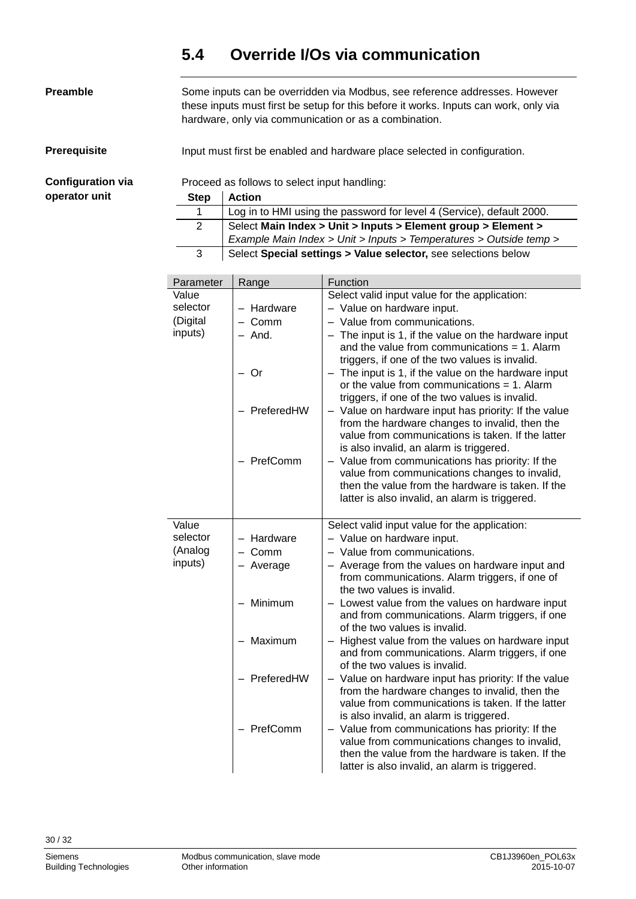### **5.4 Override I/Os via communication**

| <b>Preamble</b><br>Prerequisite<br><b>Configuration via</b> |                                         | Some inputs can be overridden via Modbus, see reference addresses. However<br>these inputs must first be setup for this before it works. Inputs can work, only via<br>hardware, only via communication or as a combination.<br>Input must first be enabled and hardware place selected in configuration.<br>Proceed as follows to select input handling: |                                                                                                                                                                                                                                                                                                                                                                                                                                 |  |  |  |  |
|-------------------------------------------------------------|-----------------------------------------|----------------------------------------------------------------------------------------------------------------------------------------------------------------------------------------------------------------------------------------------------------------------------------------------------------------------------------------------------------|---------------------------------------------------------------------------------------------------------------------------------------------------------------------------------------------------------------------------------------------------------------------------------------------------------------------------------------------------------------------------------------------------------------------------------|--|--|--|--|
| operator unit                                               | <b>Step</b>                             | <b>Action</b>                                                                                                                                                                                                                                                                                                                                            |                                                                                                                                                                                                                                                                                                                                                                                                                                 |  |  |  |  |
|                                                             | 1                                       | Log in to HMI using the password for level 4 (Service), default 2000.                                                                                                                                                                                                                                                                                    |                                                                                                                                                                                                                                                                                                                                                                                                                                 |  |  |  |  |
|                                                             | $\overline{2}$                          |                                                                                                                                                                                                                                                                                                                                                          | Select Main Index > Unit > Inputs > Element group > Element >                                                                                                                                                                                                                                                                                                                                                                   |  |  |  |  |
|                                                             |                                         |                                                                                                                                                                                                                                                                                                                                                          | Example Main Index > Unit > Inputs > Temperatures > Outside temp >                                                                                                                                                                                                                                                                                                                                                              |  |  |  |  |
|                                                             | 3                                       |                                                                                                                                                                                                                                                                                                                                                          | Select Special settings > Value selector, see selections below                                                                                                                                                                                                                                                                                                                                                                  |  |  |  |  |
|                                                             | Parameter                               | Range                                                                                                                                                                                                                                                                                                                                                    | Function                                                                                                                                                                                                                                                                                                                                                                                                                        |  |  |  |  |
|                                                             | Value                                   |                                                                                                                                                                                                                                                                                                                                                          | Select valid input value for the application:                                                                                                                                                                                                                                                                                                                                                                                   |  |  |  |  |
|                                                             | selector                                | - Hardware                                                                                                                                                                                                                                                                                                                                               | - Value on hardware input.                                                                                                                                                                                                                                                                                                                                                                                                      |  |  |  |  |
|                                                             | (Digital                                | - Comm                                                                                                                                                                                                                                                                                                                                                   | - Value from communications.                                                                                                                                                                                                                                                                                                                                                                                                    |  |  |  |  |
|                                                             | inputs)                                 | - And.<br>$-$ Or<br>- PreferedHW                                                                                                                                                                                                                                                                                                                         | - The input is 1, if the value on the hardware input<br>and the value from communications $= 1$ . Alarm<br>triggers, if one of the two values is invalid.<br>- The input is 1, if the value on the hardware input<br>or the value from communications $= 1$ . Alarm<br>triggers, if one of the two values is invalid.<br>- Value on hardware input has priority: If the value<br>from the hardware changes to invalid, then the |  |  |  |  |
|                                                             |                                         | - PrefComm                                                                                                                                                                                                                                                                                                                                               | value from communications is taken. If the latter<br>is also invalid, an alarm is triggered.<br>- Value from communications has priority: If the<br>value from communications changes to invalid,<br>then the value from the hardware is taken. If the<br>latter is also invalid, an alarm is triggered.                                                                                                                        |  |  |  |  |
|                                                             | Value<br>selector<br>(Analog<br>inputs) | - Hardware<br>- Comm<br>- Average                                                                                                                                                                                                                                                                                                                        | Select valid input value for the application:<br>- Value on hardware input.<br>- Value from communications.<br>- Average from the values on hardware input and<br>from communications. Alarm triggers, if one of<br>the two values is invalid.                                                                                                                                                                                  |  |  |  |  |

– PreferedHW and from communications. Alarm triggers, if one of the two values is invalid. – Value on hardware input has priority: If the value from the hardware changes to invalid, then the value from communications is taken. If the latter is also invalid, an alarm is triggered.

– PrefComm – Value from communications has priority: If the value from communications changes to invalid, then the value from the hardware is taken. If the latter is also invalid, an alarm is triggered.

of the two values is invalid.

– Lowest value from the values on hardware input and from communications. Alarm triggers, if one

– Highest value from the values on hardware input

– Minimum

– Maximum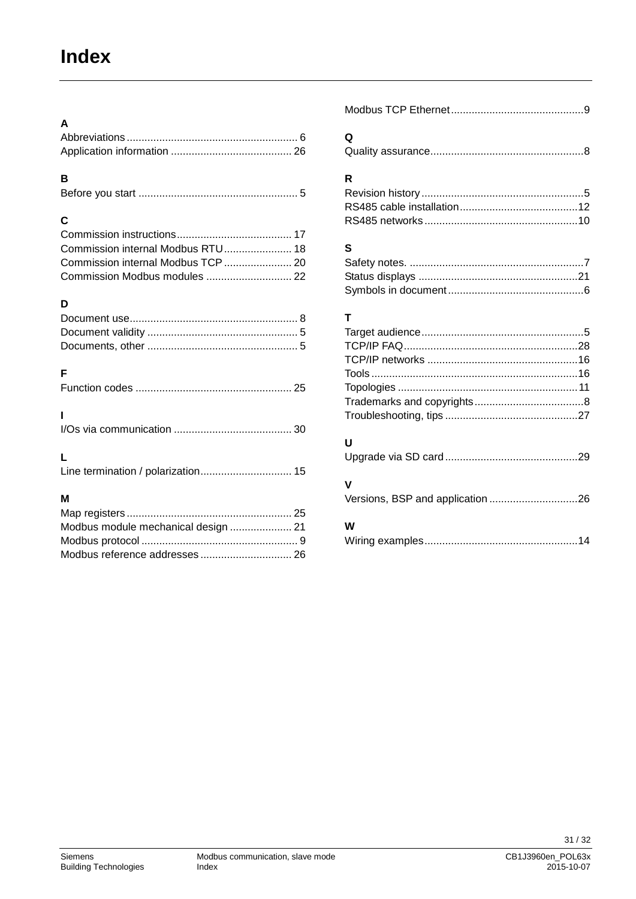# **Index**

#### **A**

### **B**

### **C**

#### **D**

#### **F**

### **L**

|--|--|

#### **M**

| Modbus module mechanical design  21 |  |
|-------------------------------------|--|
|                                     |  |
|                                     |  |

| Q      |  |
|--------|--|
| R      |  |
| S      |  |
| т      |  |
| U<br>۷ |  |

Modbus TCP Ethernet.............................................9

# Versions, BSP and application ..............................26

#### **W**

| --- |  |  |
|-----|--|--|
|     |  |  |